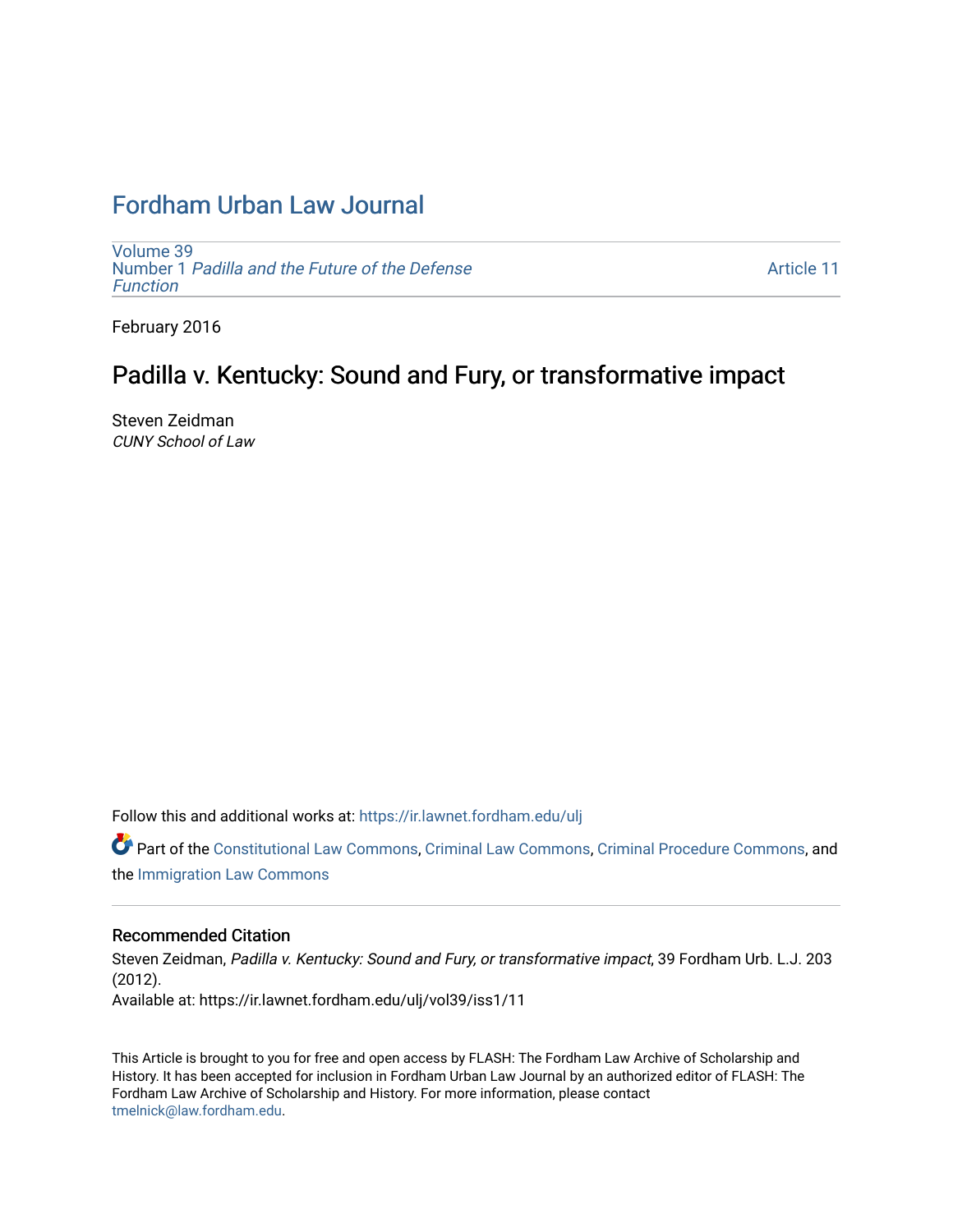# [Fordham Urban Law Journal](https://ir.lawnet.fordham.edu/ulj)

[Volume 39](https://ir.lawnet.fordham.edu/ulj/vol39) Number 1 [Padilla and the Future of the Defense](https://ir.lawnet.fordham.edu/ulj/vol39/iss1)  [Function](https://ir.lawnet.fordham.edu/ulj/vol39/iss1)

[Article 11](https://ir.lawnet.fordham.edu/ulj/vol39/iss1/11) 

February 2016

# Padilla v. Kentucky: Sound and Fury, or transformative impact

Steven Zeidman CUNY School of Law

Follow this and additional works at: [https://ir.lawnet.fordham.edu/ulj](https://ir.lawnet.fordham.edu/ulj?utm_source=ir.lawnet.fordham.edu%2Fulj%2Fvol39%2Fiss1%2F11&utm_medium=PDF&utm_campaign=PDFCoverPages) 

Part of the [Constitutional Law Commons,](http://network.bepress.com/hgg/discipline/589?utm_source=ir.lawnet.fordham.edu%2Fulj%2Fvol39%2Fiss1%2F11&utm_medium=PDF&utm_campaign=PDFCoverPages) [Criminal Law Commons,](http://network.bepress.com/hgg/discipline/912?utm_source=ir.lawnet.fordham.edu%2Fulj%2Fvol39%2Fiss1%2F11&utm_medium=PDF&utm_campaign=PDFCoverPages) [Criminal Procedure Commons](http://network.bepress.com/hgg/discipline/1073?utm_source=ir.lawnet.fordham.edu%2Fulj%2Fvol39%2Fiss1%2F11&utm_medium=PDF&utm_campaign=PDFCoverPages), and the [Immigration Law Commons](http://network.bepress.com/hgg/discipline/604?utm_source=ir.lawnet.fordham.edu%2Fulj%2Fvol39%2Fiss1%2F11&utm_medium=PDF&utm_campaign=PDFCoverPages) 

# Recommended Citation

Steven Zeidman, Padilla v. Kentucky: Sound and Fury, or transformative impact, 39 Fordham Urb. L.J. 203 (2012). Available at: https://ir.lawnet.fordham.edu/ulj/vol39/iss1/11

This Article is brought to you for free and open access by FLASH: The Fordham Law Archive of Scholarship and History. It has been accepted for inclusion in Fordham Urban Law Journal by an authorized editor of FLASH: The Fordham Law Archive of Scholarship and History. For more information, please contact [tmelnick@law.fordham.edu](mailto:tmelnick@law.fordham.edu).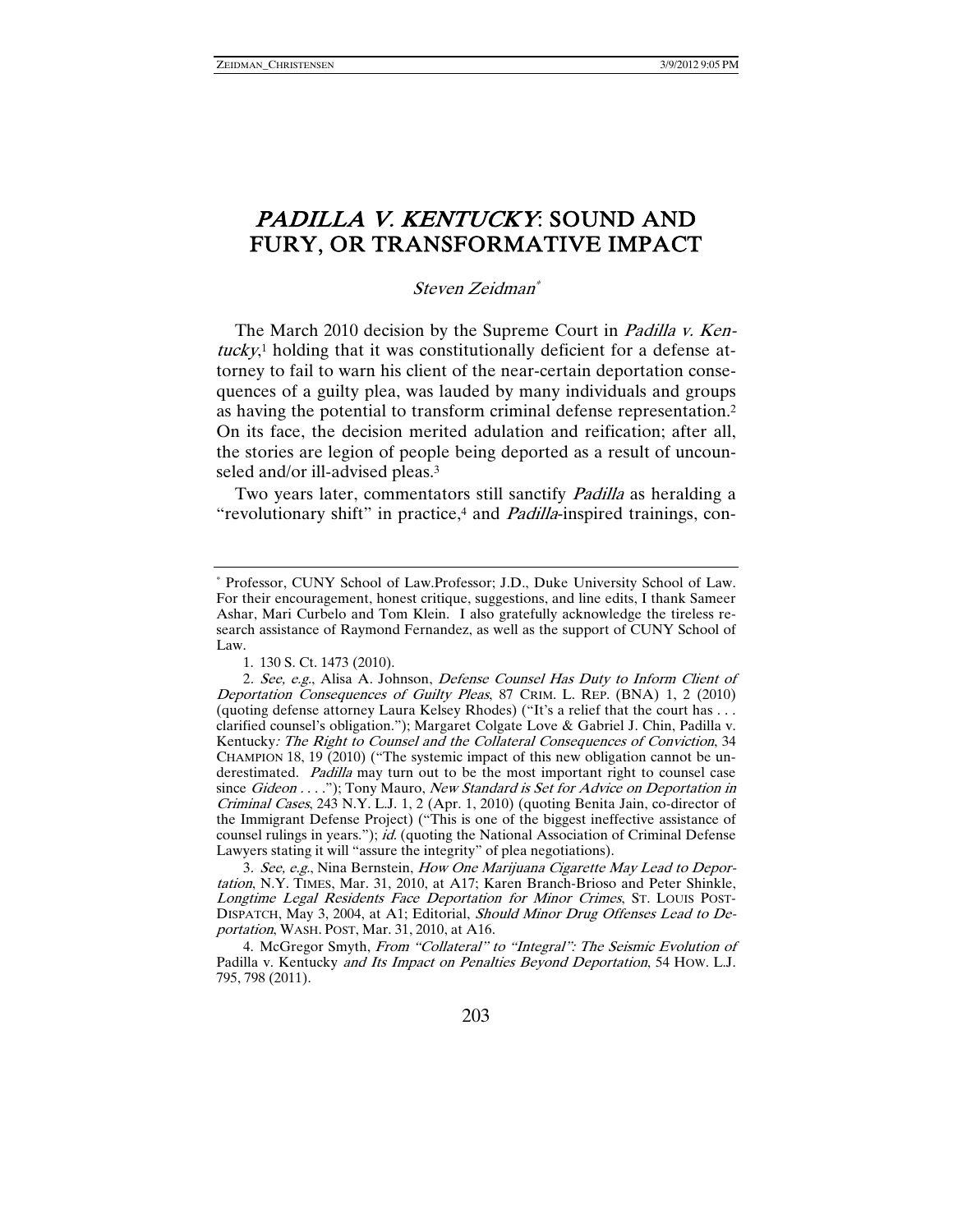# PADILLA V. KENTUCKY: SOUND AND FURY, OR TRANSFORMATIVE IMPACT

Steven Zeidman\*

The March 2010 decision by the Supreme Court in *Padilla v. Ken*tucky,<sup>1</sup> holding that it was constitutionally deficient for a defense attorney to fail to warn his client of the near-certain deportation consequences of a guilty plea, was lauded by many individuals and groups as having the potential to transform criminal defense representation.2 On its face, the decision merited adulation and reification; after all, the stories are legion of people being deported as a result of uncounseled and/or ill-advised pleas.<sup>3</sup>

Two years later, commentators still sanctify *Padilla* as heralding a "revolutionary shift" in practice,<sup>4</sup> and *Padilla*-inspired trainings, con-

3. See, e.g., Nina Bernstein, How One Marijuana Cigarette May Lead to Deportation, N.Y. TIMES, Mar. 31, 2010, at A17; Karen Branch-Brioso and Peter Shinkle, Longtime Legal Residents Face Deportation for Minor Crimes, ST. LOUIS POST-DISPATCH, May 3, 2004, at A1; Editorial, Should Minor Drug Offenses Lead to Deportation, WASH. POST, Mar. 31, 2010, at A16.

4. McGregor Smyth, From "Collateral" to "Integral": The Seismic Evolution of Padilla v. Kentucky and Its Impact on Penalties Beyond Deportation, 54 HOW. L.J. 795, 798 (2011).

<sup>\*</sup> Professor, CUNY School of Law.Professor; J.D., Duke University School of Law. For their encouragement, honest critique, suggestions, and line edits, I thank Sameer Ashar, Mari Curbelo and Tom Klein. I also gratefully acknowledge the tireless research assistance of Raymond Fernandez, as well as the support of CUNY School of Law.

 <sup>1. 130</sup> S. Ct. 1473 (2010).

<sup>2</sup>. See, e.g., Alisa A. Johnson, Defense Counsel Has Duty to Inform Client of Deportation Consequences of Guilty Pleas, 87 CRIM. L. REP. (BNA) 1, 2 (2010) (quoting defense attorney Laura Kelsey Rhodes) ("It's a relief that the court has . . . clarified counsel's obligation."); Margaret Colgate Love & Gabriel J. Chin, Padilla v. Kentucky: The Right to Counsel and the Collateral Consequences of Conviction, 34 CHAMPION 18, 19 (2010) ("The systemic impact of this new obligation cannot be underestimated. *Padilla* may turn out to be the most important right to counsel case since Gideon . . . ."); Tony Mauro, New Standard is Set for Advice on Deportation in Criminal Cases, 243 N.Y. L.J. 1, 2 (Apr. 1, 2010) (quoting Benita Jain, co-director of the Immigrant Defense Project) ("This is one of the biggest ineffective assistance of counsel rulings in years."); id. (quoting the National Association of Criminal Defense Lawyers stating it will "assure the integrity" of plea negotiations).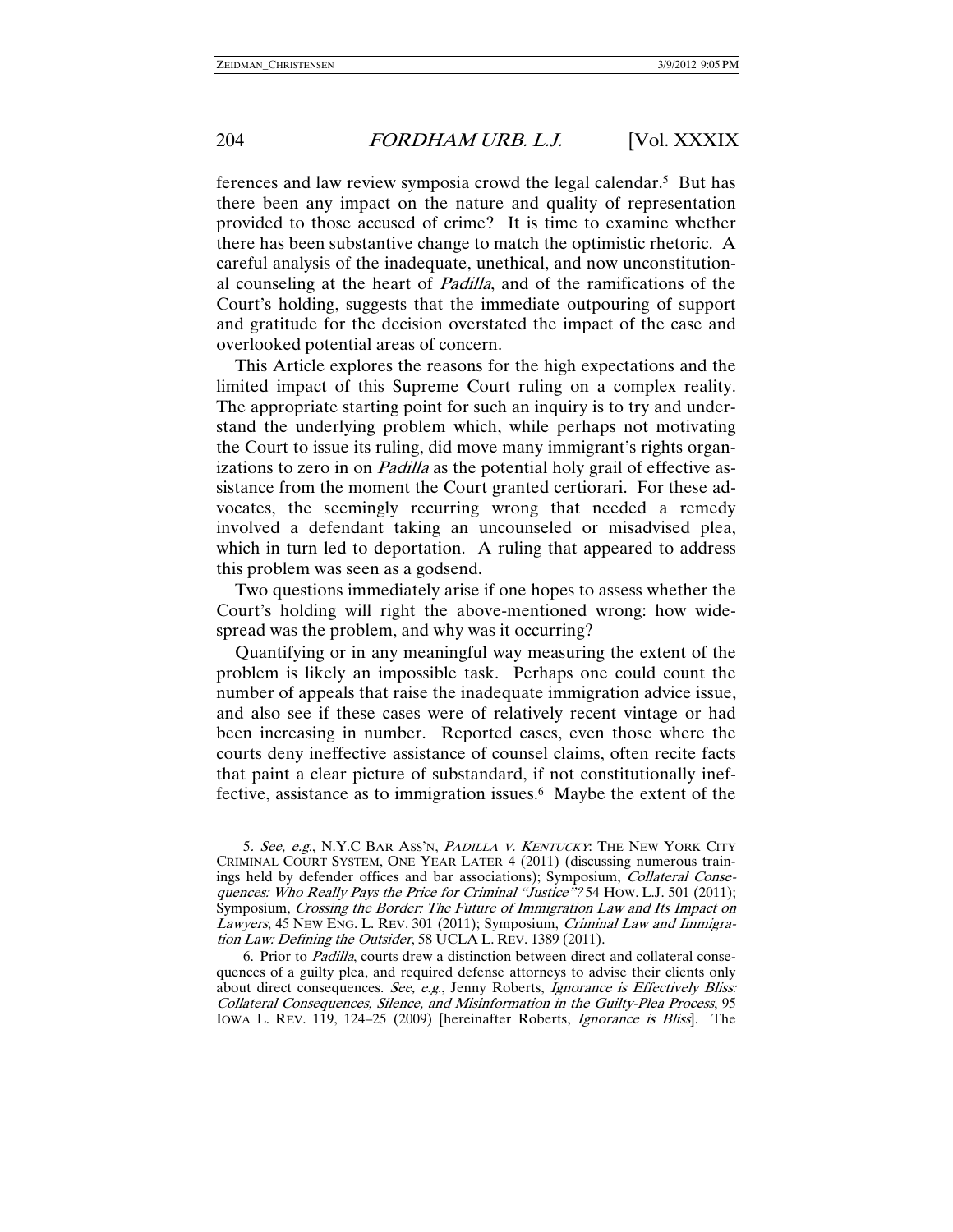ferences and law review symposia crowd the legal calendar.5 But has there been any impact on the nature and quality of representation provided to those accused of crime? It is time to examine whether there has been substantive change to match the optimistic rhetoric. A careful analysis of the inadequate, unethical, and now unconstitutional counseling at the heart of Padilla, and of the ramifications of the Court's holding, suggests that the immediate outpouring of support and gratitude for the decision overstated the impact of the case and overlooked potential areas of concern.

This Article explores the reasons for the high expectations and the limited impact of this Supreme Court ruling on a complex reality. The appropriate starting point for such an inquiry is to try and understand the underlying problem which, while perhaps not motivating the Court to issue its ruling, did move many immigrant's rights organizations to zero in on *Padilla* as the potential holy grail of effective assistance from the moment the Court granted certiorari. For these advocates, the seemingly recurring wrong that needed a remedy involved a defendant taking an uncounseled or misadvised plea, which in turn led to deportation. A ruling that appeared to address this problem was seen as a godsend.

Two questions immediately arise if one hopes to assess whether the Court's holding will right the above-mentioned wrong: how widespread was the problem, and why was it occurring?

Quantifying or in any meaningful way measuring the extent of the problem is likely an impossible task. Perhaps one could count the number of appeals that raise the inadequate immigration advice issue, and also see if these cases were of relatively recent vintage or had been increasing in number. Reported cases, even those where the courts deny ineffective assistance of counsel claims, often recite facts that paint a clear picture of substandard, if not constitutionally ineffective, assistance as to immigration issues.<sup>6</sup> Maybe the extent of the

<sup>5</sup>. See, e.g., N.Y.C BAR ASS'N, <sup>P</sup>ADILLA V. <sup>K</sup>ENTUCKY: THE NEW YORK CITY CRIMINAL COURT SYSTEM, ONE YEAR LATER 4 (2011) (discussing numerous trainings held by defender offices and bar associations); Symposium, Collateral Consequences: Who Really Pays the Price for Criminal "Justice"? 54 How. L.J. 501 (2011); Symposium, Crossing the Border: The Future of Immigration Law and Its Impact on Lawyers, 45 NEW ENG. L. REV. 301 (2011); Symposium, Criminal Law and Immigration Law: Defining the Outsider, 58 UCLA L. REV. 1389 (2011).

 <sup>6.</sup> Prior to Padilla, courts drew a distinction between direct and collateral consequences of a guilty plea, and required defense attorneys to advise their clients only about direct consequences. See, e.g., Jenny Roberts, Ignorance is Effectively Bliss: Collateral Consequences, Silence, and Misinformation in the Guilty-Plea Process, 95 IOWA L. REV. 119, 124–25 (2009) [hereinafter Roberts, Ignorance is Bliss]. The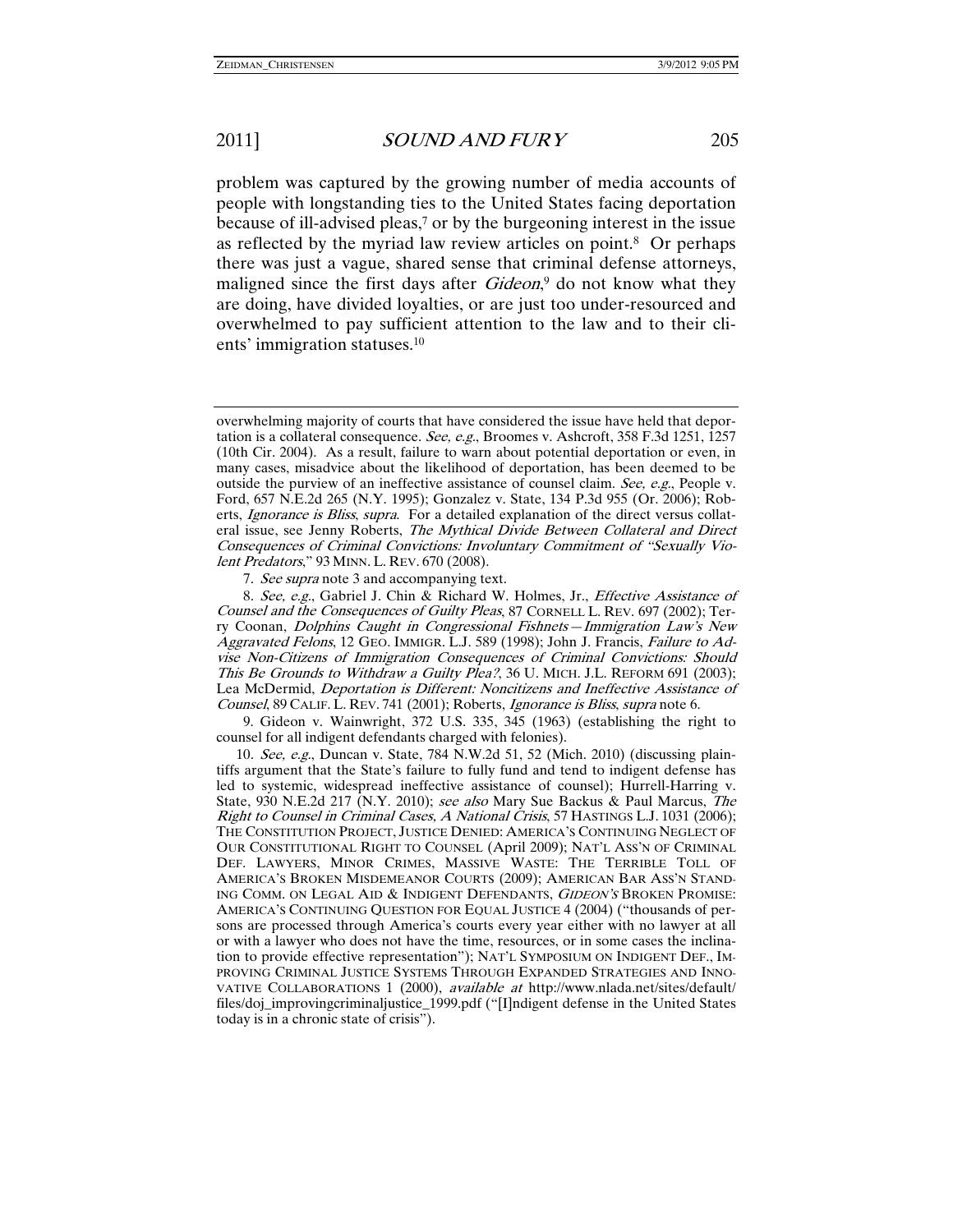problem was captured by the growing number of media accounts of people with longstanding ties to the United States facing deportation because of ill-advised pleas,<sup>7</sup> or by the burgeoning interest in the issue as reflected by the myriad law review articles on point.8 Or perhaps there was just a vague, shared sense that criminal defense attorneys, maligned since the first days after *Gideon*,<sup>9</sup> do not know what they are doing, have divided loyalties, or are just too under-resourced and overwhelmed to pay sufficient attention to the law and to their clients' immigration statuses.10

7. See supra note 3 and accompanying text.

8. See, e.g., Gabriel J. Chin & Richard W. Holmes, Jr., Effective Assistance of Counsel and the Consequences of Guilty Pleas, 87 CORNELL L. REV. 697 (2002); Terry Coonan, Dolphins Caught in Congressional Fishnets—Immigration Law's New Aggravated Felons, 12 GEO. IMMIGR. L.J. 589 (1998); John J. Francis, Failure to Advise Non-Citizens of Immigration Consequences of Criminal Convictions: Should This Be Grounds to Withdraw a Guilty Plea?, 36 U. MICH. J.L. REFORM 691 (2003); Lea McDermid, Deportation is Different: Noncitizens and Ineffective Assistance of Counsel, 89 CALIF. L. REV. 741 (2001); Roberts, Ignorance is Bliss, supra note 6.

 9. Gideon v. Wainwright, 372 U.S. 335, 345 (1963) (establishing the right to counsel for all indigent defendants charged with felonies).

10. See, e.g., Duncan v. State, 784 N.W.2d 51, 52 (Mich. 2010) (discussing plaintiffs argument that the State's failure to fully fund and tend to indigent defense has led to systemic, widespread ineffective assistance of counsel); Hurrell-Harring v. State, 930 N.E.2d 217 (N.Y. 2010); see also Mary Sue Backus & Paul Marcus, The Right to Counsel in Criminal Cases, A National Crisis, 57 HASTINGS L.J. 1031 (2006); THE CONSTITUTION PROJECT, JUSTICE DENIED: AMERICA'S CONTINUING NEGLECT OF OUR CONSTITUTIONAL RIGHT TO COUNSEL (April 2009); NAT'L ASS'N OF CRIMINAL DEF. LAWYERS, MINOR CRIMES, MASSIVE WASTE: THE TERRIBLE TOLL OF AMERICA'S BROKEN MISDEMEANOR COURTS (2009); AMERICAN BAR ASS'N STAND-ING COMM. ON LEGAL AID & INDIGENT DEFENDANTS, GIDEON'S BROKEN PROMISE: AMERICA'S CONTINUING QUESTION FOR EQUAL JUSTICE 4 (2004) ("thousands of persons are processed through America's courts every year either with no lawyer at all or with a lawyer who does not have the time, resources, or in some cases the inclination to provide effective representation"); NAT'L SYMPOSIUM ON INDIGENT DEF., IM-PROVING CRIMINAL JUSTICE SYSTEMS THROUGH EXPANDED STRATEGIES AND INNO-VATIVE COLLABORATIONS 1 (2000), *available at* http://www.nlada.net/sites/default/ files/doj\_improvingcriminaljustice\_1999.pdf ("[I]ndigent defense in the United States today is in a chronic state of crisis").

overwhelming majority of courts that have considered the issue have held that deportation is a collateral consequence. See, e.g., Broomes v. Ashcroft, 358 F.3d 1251, 1257 (10th Cir. 2004). As a result, failure to warn about potential deportation or even, in many cases, misadvice about the likelihood of deportation, has been deemed to be outside the purview of an ineffective assistance of counsel claim. See, e.g., People v. Ford, 657 N.E.2d 265 (N.Y. 1995); Gonzalez v. State, 134 P.3d 955 (Or. 2006); Roberts, Ignorance is Bliss, supra. For a detailed explanation of the direct versus collateral issue, see Jenny Roberts, The Mythical Divide Between Collateral and Direct Consequences of Criminal Convictions: Involuntary Commitment of "Sexually Violent Predators," 93 MINN. L. REV. 670 (2008).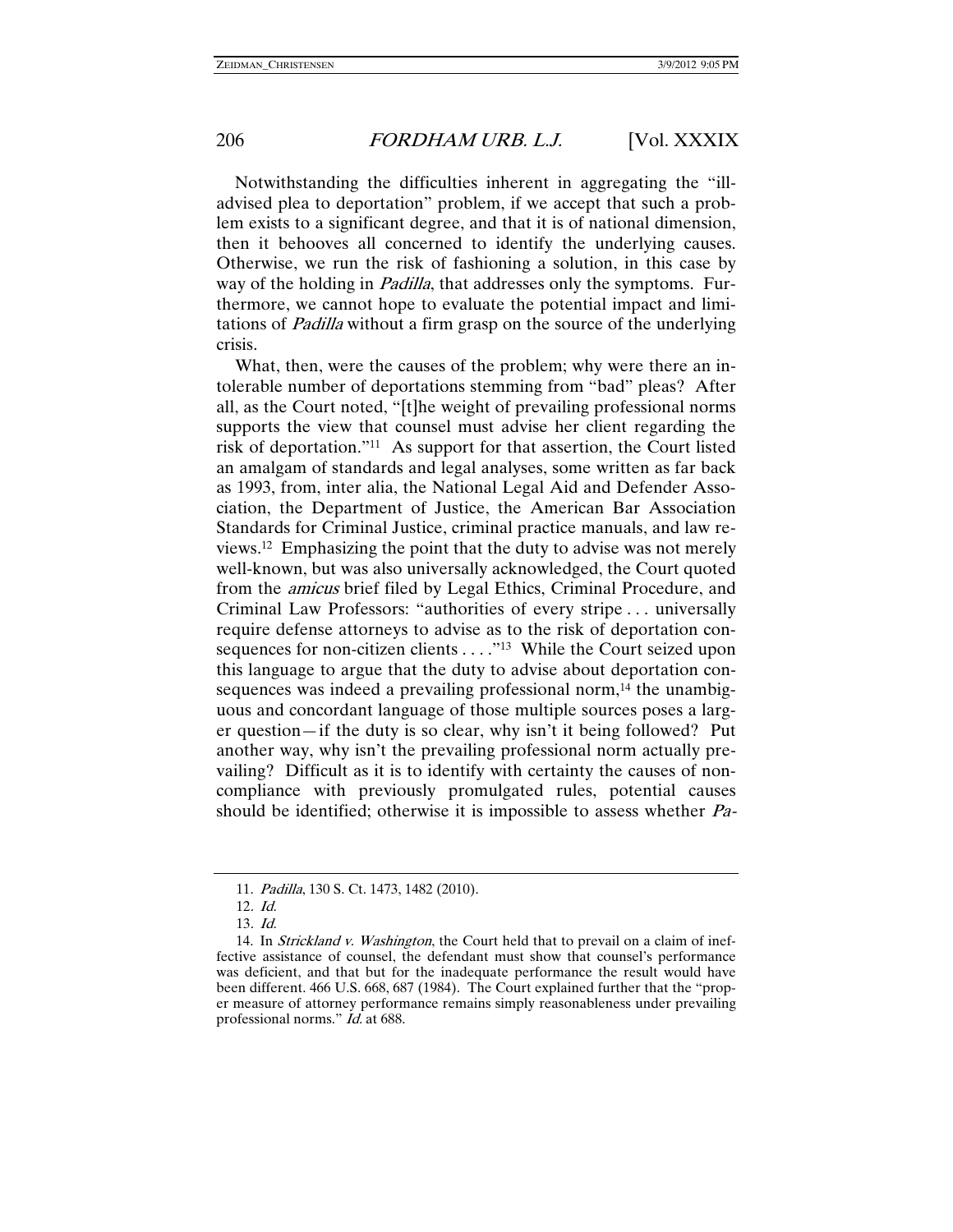Notwithstanding the difficulties inherent in aggregating the "illadvised plea to deportation" problem, if we accept that such a problem exists to a significant degree, and that it is of national dimension, then it behooves all concerned to identify the underlying causes. Otherwise, we run the risk of fashioning a solution, in this case by way of the holding in *Padilla*, that addresses only the symptoms. Furthermore, we cannot hope to evaluate the potential impact and limitations of Padilla without a firm grasp on the source of the underlying crisis.

What, then, were the causes of the problem; why were there an intolerable number of deportations stemming from "bad" pleas? After all, as the Court noted, "[t]he weight of prevailing professional norms supports the view that counsel must advise her client regarding the risk of deportation."11 As support for that assertion, the Court listed an amalgam of standards and legal analyses, some written as far back as 1993, from, inter alia, the National Legal Aid and Defender Association, the Department of Justice, the American Bar Association Standards for Criminal Justice, criminal practice manuals, and law reviews.12 Emphasizing the point that the duty to advise was not merely well-known, but was also universally acknowledged, the Court quoted from the amicus brief filed by Legal Ethics, Criminal Procedure, and Criminal Law Professors: "authorities of every stripe . . . universally require defense attorneys to advise as to the risk of deportation consequences for non-citizen clients . . . . "<sup>13</sup> While the Court seized upon this language to argue that the duty to advise about deportation consequences was indeed a prevailing professional norm,<sup>14</sup> the unambiguous and concordant language of those multiple sources poses a larger question—if the duty is so clear, why isn't it being followed? Put another way, why isn't the prevailing professional norm actually prevailing? Difficult as it is to identify with certainty the causes of noncompliance with previously promulgated rules, potential causes should be identified; otherwise it is impossible to assess whether Pa-

 <sup>11.</sup> Padilla, 130 S. Ct. 1473, 1482 (2010).

<sup>12</sup>. Id.

<sup>13</sup>. Id.

<sup>14.</sup> In Strickland v. Washington, the Court held that to prevail on a claim of ineffective assistance of counsel, the defendant must show that counsel's performance was deficient, and that but for the inadequate performance the result would have been different. 466 U.S. 668, 687 (1984). The Court explained further that the "proper measure of attorney performance remains simply reasonableness under prevailing professional norms." *Id.* at 688.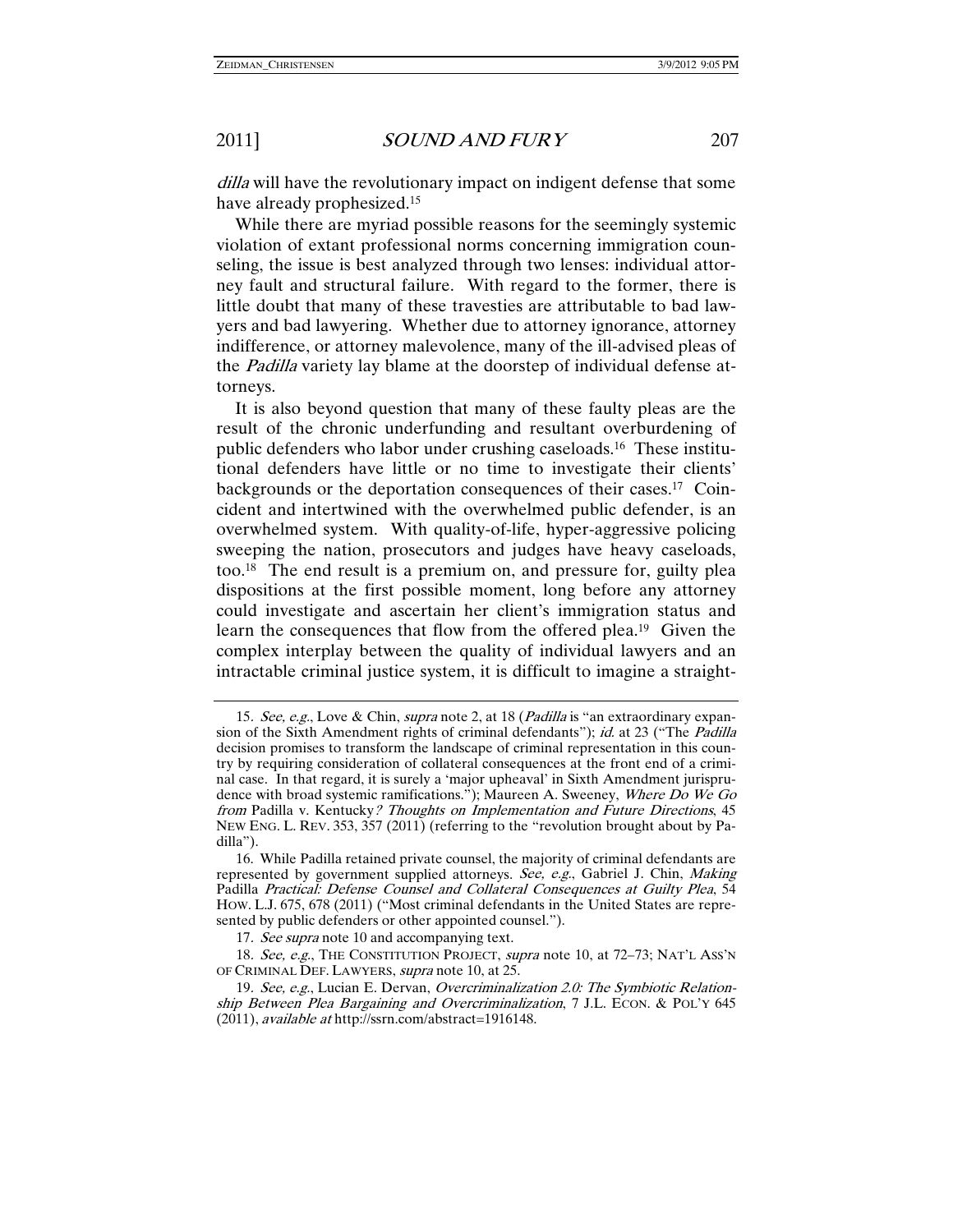dilla will have the revolutionary impact on indigent defense that some have already prophesized.15

While there are myriad possible reasons for the seemingly systemic violation of extant professional norms concerning immigration counseling, the issue is best analyzed through two lenses: individual attorney fault and structural failure. With regard to the former, there is little doubt that many of these travesties are attributable to bad lawyers and bad lawyering. Whether due to attorney ignorance, attorney indifference, or attorney malevolence, many of the ill-advised pleas of the Padilla variety lay blame at the doorstep of individual defense attorneys.

It is also beyond question that many of these faulty pleas are the result of the chronic underfunding and resultant overburdening of public defenders who labor under crushing caseloads.16 These institutional defenders have little or no time to investigate their clients' backgrounds or the deportation consequences of their cases.17 Coincident and intertwined with the overwhelmed public defender, is an overwhelmed system. With quality-of-life, hyper-aggressive policing sweeping the nation, prosecutors and judges have heavy caseloads, too.18 The end result is a premium on, and pressure for, guilty plea dispositions at the first possible moment, long before any attorney could investigate and ascertain her client's immigration status and learn the consequences that flow from the offered plea.19 Given the complex interplay between the quality of individual lawyers and an intractable criminal justice system, it is difficult to imagine a straight-

<sup>15.</sup> See, e.g., Love & Chin, supra note 2, at 18 (Padilla is "an extraordinary expansion of the Sixth Amendment rights of criminal defendants"); id. at 23 ("The *Padilla* decision promises to transform the landscape of criminal representation in this country by requiring consideration of collateral consequences at the front end of a criminal case. In that regard, it is surely a 'major upheaval' in Sixth Amendment jurisprudence with broad systemic ramifications."); Maureen A. Sweeney, Where Do We Go from Padilla v. Kentucky? Thoughts on Implementation and Future Directions, 45 NEW ENG. L. REV. 353, 357 (2011) (referring to the "revolution brought about by Padilla").

 <sup>16.</sup> While Padilla retained private counsel, the majority of criminal defendants are represented by government supplied attorneys. See, e.g., Gabriel J. Chin, Making Padilla Practical: Defense Counsel and Collateral Consequences at Guilty Plea, 54 HOW. L.J. 675, 678 (2011) ("Most criminal defendants in the United States are represented by public defenders or other appointed counsel.").

<sup>17.</sup> See supra note 10 and accompanying text.

<sup>18.</sup> See, e.g., THE CONSTITUTION PROJECT, supra note 10, at 72-73; NAT'L ASS'N OF CRIMINAL DEF. LAWYERS, *supra* note 10, at 25.

<sup>19.</sup> See, e.g., Lucian E. Dervan, Overcriminalization 2.0: The Symbiotic Relationship Between Plea Bargaining and Overcriminalization, 7 J.L. ECON. & POL'Y 645 (2011), available at http://ssrn.com/abstract=1916148.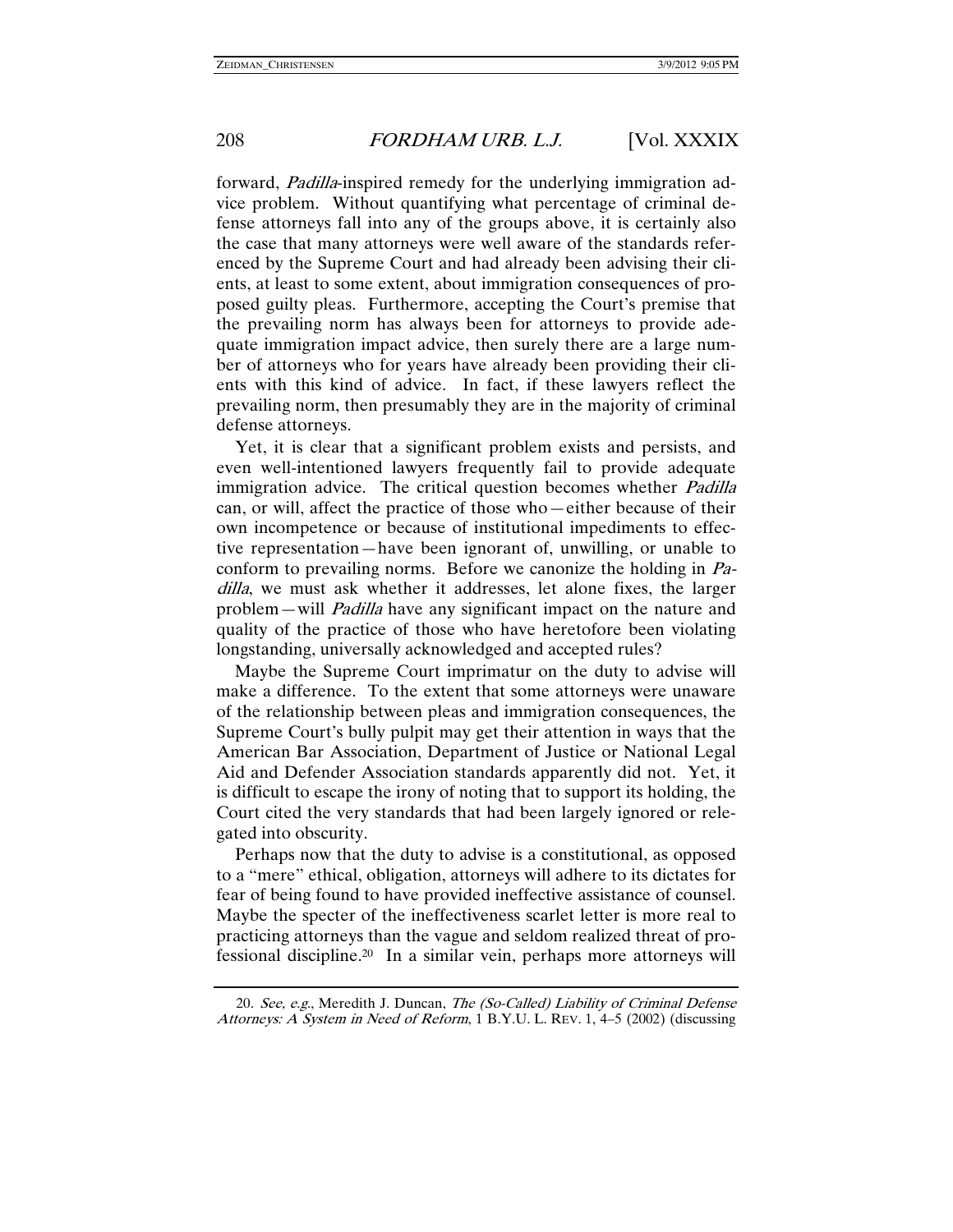forward, Padilla-inspired remedy for the underlying immigration advice problem. Without quantifying what percentage of criminal defense attorneys fall into any of the groups above, it is certainly also the case that many attorneys were well aware of the standards referenced by the Supreme Court and had already been advising their clients, at least to some extent, about immigration consequences of proposed guilty pleas. Furthermore, accepting the Court's premise that the prevailing norm has always been for attorneys to provide adequate immigration impact advice, then surely there are a large number of attorneys who for years have already been providing their clients with this kind of advice. In fact, if these lawyers reflect the prevailing norm, then presumably they are in the majority of criminal defense attorneys.

Yet, it is clear that a significant problem exists and persists, and even well-intentioned lawyers frequently fail to provide adequate immigration advice. The critical question becomes whether *Padilla* can, or will, affect the practice of those who—either because of their own incompetence or because of institutional impediments to effective representation—have been ignorant of, unwilling, or unable to conform to prevailing norms. Before we canonize the holding in Padilla, we must ask whether it addresses, let alone fixes, the larger problem—will Padilla have any significant impact on the nature and quality of the practice of those who have heretofore been violating longstanding, universally acknowledged and accepted rules?

Maybe the Supreme Court imprimatur on the duty to advise will make a difference. To the extent that some attorneys were unaware of the relationship between pleas and immigration consequences, the Supreme Court's bully pulpit may get their attention in ways that the American Bar Association, Department of Justice or National Legal Aid and Defender Association standards apparently did not. Yet, it is difficult to escape the irony of noting that to support its holding, the Court cited the very standards that had been largely ignored or relegated into obscurity.

Perhaps now that the duty to advise is a constitutional, as opposed to a "mere" ethical, obligation, attorneys will adhere to its dictates for fear of being found to have provided ineffective assistance of counsel. Maybe the specter of the ineffectiveness scarlet letter is more real to practicing attorneys than the vague and seldom realized threat of professional discipline.20 In a similar vein, perhaps more attorneys will

<sup>20.</sup> See, e.g., Meredith J. Duncan, The (So-Called) Liability of Criminal Defense Attorneys: A System in Need of Reform, 1 B.Y.U. L. REV. 1, 4–5 (2002) (discussing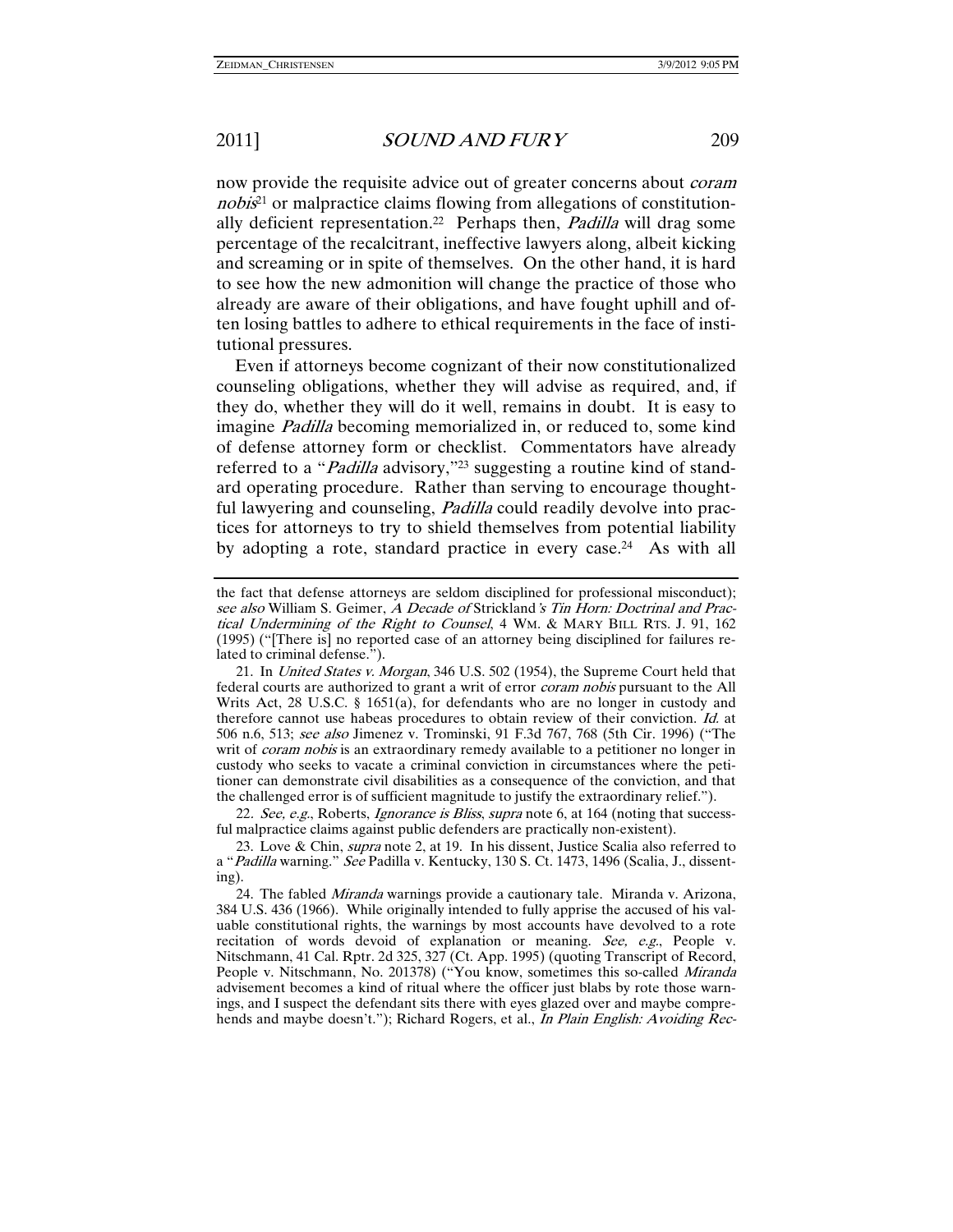now provide the requisite advice out of greater concerns about *coram* nobis<sup>21</sup> or malpractice claims flowing from allegations of constitutionally deficient representation.<sup>22</sup> Perhaps then, *Padilla* will drag some percentage of the recalcitrant, ineffective lawyers along, albeit kicking and screaming or in spite of themselves. On the other hand, it is hard to see how the new admonition will change the practice of those who already are aware of their obligations, and have fought uphill and often losing battles to adhere to ethical requirements in the face of institutional pressures.

Even if attorneys become cognizant of their now constitutionalized counseling obligations, whether they will advise as required, and, if they do, whether they will do it well, remains in doubt. It is easy to imagine Padilla becoming memorialized in, or reduced to, some kind of defense attorney form or checklist. Commentators have already referred to a "Padilla advisory,"<sup>23</sup> suggesting a routine kind of standard operating procedure. Rather than serving to encourage thoughtful lawyering and counseling, *Padilla* could readily devolve into practices for attorneys to try to shield themselves from potential liability by adopting a rote, standard practice in every case.24 As with all

22. See, e.g., Roberts, *Ignorance is Bliss, supra* note 6, at 164 (noting that successful malpractice claims against public defenders are practically non-existent).

the fact that defense attorneys are seldom disciplined for professional misconduct); see also William S. Geimer, A Decade of Strickland's Tin Horn: Doctrinal and Practical Undermining of the Right to Counsel, 4 WM. & MARY BILL RTS. J. 91, 162 (1995) ("[There is] no reported case of an attorney being disciplined for failures related to criminal defense.").

 <sup>21.</sup> In United States v. Morgan, 346 U.S. 502 (1954), the Supreme Court held that federal courts are authorized to grant a writ of error coram nobis pursuant to the All Writs Act, 28 U.S.C. § 1651(a), for defendants who are no longer in custody and therefore cannot use habeas procedures to obtain review of their conviction. Id. at 506 n.6, 513; see also Jimenez v. Trominski, 91 F.3d 767, 768 (5th Cir. 1996) ("The writ of *coram nobis* is an extraordinary remedy available to a petitioner no longer in custody who seeks to vacate a criminal conviction in circumstances where the petitioner can demonstrate civil disabilities as a consequence of the conviction, and that the challenged error is of sufficient magnitude to justify the extraordinary relief.").

<sup>23.</sup> Love & Chin, *supra* note 2, at 19. In his dissent, Justice Scalia also referred to a "Padilla warning." See Padilla v. Kentucky, 130 S. Ct. 1473, 1496 (Scalia, J., dissenting).

 <sup>24.</sup> The fabled Miranda warnings provide a cautionary tale. Miranda v. Arizona, 384 U.S. 436 (1966). While originally intended to fully apprise the accused of his valuable constitutional rights, the warnings by most accounts have devolved to a rote recitation of words devoid of explanation or meaning. See, e.g., People v. Nitschmann, 41 Cal. Rptr. 2d 325, 327 (Ct. App. 1995) (quoting Transcript of Record, People v. Nitschmann, No. 201378) ("You know, sometimes this so-called Miranda" advisement becomes a kind of ritual where the officer just blabs by rote those warnings, and I suspect the defendant sits there with eyes glazed over and maybe comprehends and maybe doesn't."); Richard Rogers, et al., In Plain English: Avoiding Rec-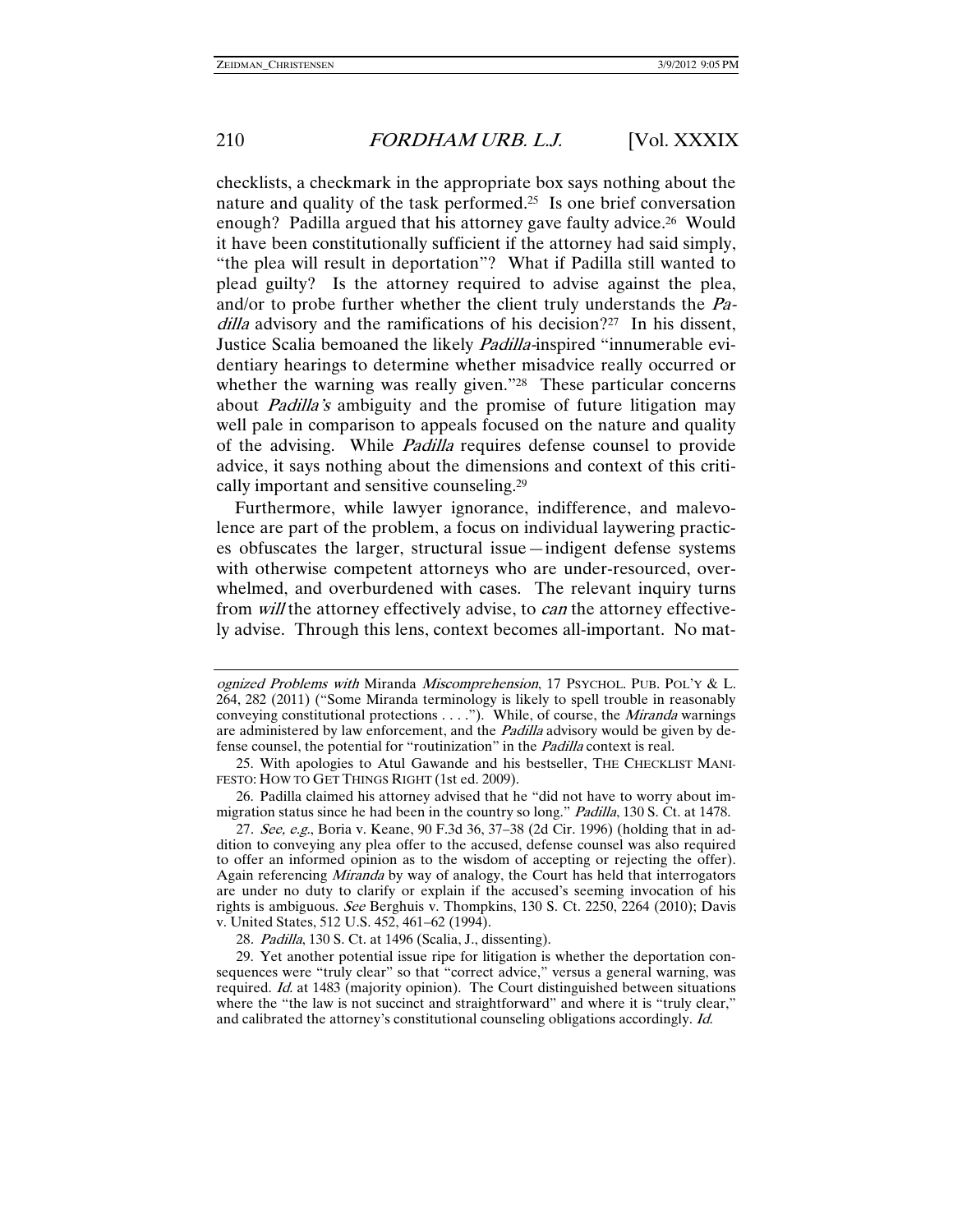checklists, a checkmark in the appropriate box says nothing about the nature and quality of the task performed.25 Is one brief conversation enough? Padilla argued that his attorney gave faulty advice.<sup>26</sup> Would it have been constitutionally sufficient if the attorney had said simply, "the plea will result in deportation"? What if Padilla still wanted to plead guilty? Is the attorney required to advise against the plea, and/or to probe further whether the client truly understands the Padilla advisory and the ramifications of his decision?<sup>27</sup> In his dissent, Justice Scalia bemoaned the likely Padilla-inspired "innumerable evidentiary hearings to determine whether misadvice really occurred or whether the warning was really given."<sup>28</sup> These particular concerns about Padilla's ambiguity and the promise of future litigation may well pale in comparison to appeals focused on the nature and quality of the advising. While Padilla requires defense counsel to provide advice, it says nothing about the dimensions and context of this critically important and sensitive counseling.29

Furthermore, while lawyer ignorance, indifference, and malevolence are part of the problem, a focus on individual laywering practices obfuscates the larger, structural issue—indigent defense systems with otherwise competent attorneys who are under-resourced, overwhelmed, and overburdened with cases. The relevant inquiry turns from will the attorney effectively advise, to can the attorney effectively advise. Through this lens, context becomes all-important. No mat-

 26. Padilla claimed his attorney advised that he "did not have to worry about immigration status since he had been in the country so long." *Padilla*, 130 S. Ct. at 1478.

27. See, e.g., Boria v. Keane, 90 F.3d 36, 37–38 (2d Cir. 1996) (holding that in addition to conveying any plea offer to the accused, defense counsel was also required to offer an informed opinion as to the wisdom of accepting or rejecting the offer). Again referencing Miranda by way of analogy, the Court has held that interrogators are under no duty to clarify or explain if the accused's seeming invocation of his rights is ambiguous. See Berghuis v. Thompkins, 130 S. Ct. 2250, 2264 (2010); Davis v. United States, 512 U.S. 452, 461–62 (1994).

28. Padilla, 130 S. Ct. at 1496 (Scalia, J., dissenting).

 29. Yet another potential issue ripe for litigation is whether the deportation consequences were "truly clear" so that "correct advice," versus a general warning, was required. Id. at 1483 (majority opinion). The Court distinguished between situations where the "the law is not succinct and straightforward" and where it is "truly clear," and calibrated the attorney's constitutional counseling obligations accordingly. Id.

ognized Problems with Miranda Miscomprehension, 17 PSYCHOL. PUB. POL'Y & L. 264, 282 (2011) ("Some Miranda terminology is likely to spell trouble in reasonably conveying constitutional protections . . . ."). While, of course, the *Miranda* warnings are administered by law enforcement, and the *Padilla* advisory would be given by defense counsel, the potential for "routinization" in the Padilla context is real.

 <sup>25.</sup> With apologies to Atul Gawande and his bestseller, THE CHECKLIST MANI-FESTO: HOW TO GET THINGS RIGHT (1st ed. 2009).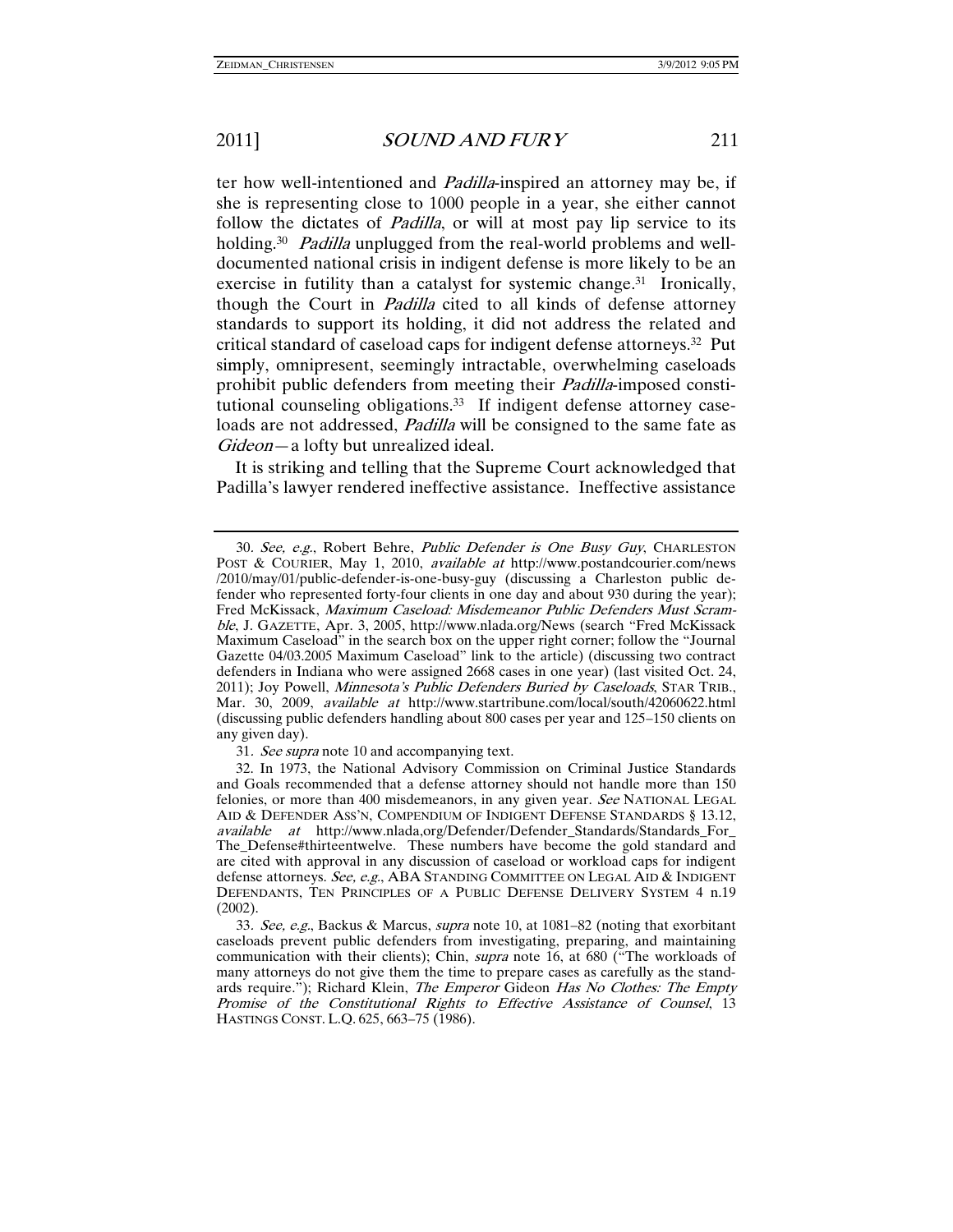ter how well-intentioned and Padilla-inspired an attorney may be, if she is representing close to 1000 people in a year, she either cannot follow the dictates of *Padilla*, or will at most pay lip service to its holding.<sup>30</sup> Padilla unplugged from the real-world problems and welldocumented national crisis in indigent defense is more likely to be an exercise in futility than a catalyst for systemic change.<sup>31</sup> Ironically, though the Court in Padilla cited to all kinds of defense attorney standards to support its holding, it did not address the related and critical standard of caseload caps for indigent defense attorneys.32 Put simply, omnipresent, seemingly intractable, overwhelming caseloads prohibit public defenders from meeting their Padilla-imposed constitutional counseling obligations.<sup>33</sup> If indigent defense attorney caseloads are not addressed, *Padilla* will be consigned to the same fate as Gideon—a lofty but unrealized ideal.

It is striking and telling that the Supreme Court acknowledged that Padilla's lawyer rendered ineffective assistance. Ineffective assistance

31. See supra note 10 and accompanying text.

 32. In 1973, the National Advisory Commission on Criminal Justice Standards and Goals recommended that a defense attorney should not handle more than 150 felonies, or more than 400 misdemeanors, in any given year. See NATIONAL LEGAL AID & DEFENDER ASS'N, COMPENDIUM OF INDIGENT DEFENSE STANDARDS § 13.12, available at http://www.nlada,org/Defender/Defender\_Standards/Standards\_For\_ The\_Defense#thirteentwelve. These numbers have become the gold standard and are cited with approval in any discussion of caseload or workload caps for indigent defense attorneys. See, e.g., ABA STANDING COMMITTEE ON LEGAL AID & INDIGENT DEFENDANTS, TEN PRINCIPLES OF A PUBLIC DEFENSE DELIVERY SYSTEM 4 n.19 (2002).

33. See, e.g., Backus & Marcus, supra note 10, at 1081–82 (noting that exorbitant caseloads prevent public defenders from investigating, preparing, and maintaining communication with their clients); Chin, supra note 16, at 680 ("The workloads of many attorneys do not give them the time to prepare cases as carefully as the standards require."); Richard Klein, *The Emperor* Gideon *Has No Clothes: The Empty* Promise of the Constitutional Rights to Effective Assistance of Counsel, 13 HASTINGS CONST. L.Q. 625, 663–75 (1986).

<sup>30</sup>. See, e.g., Robert Behre, Public Defender is One Busy Guy, CHARLESTON POST & COURIER, May 1, 2010, available at http://www.postandcourier.com/news /2010/may/01/public-defender-is-one-busy-guy (discussing a Charleston public defender who represented forty-four clients in one day and about 930 during the year); Fred McKissack, Maximum Caseload: Misdemeanor Public Defenders Must Scramble, J. GAZETTE, Apr. 3, 2005, http://www.nlada.org/News (search "Fred McKissack Maximum Caseload" in the search box on the upper right corner; follow the "Journal Gazette 04/03.2005 Maximum Caseload" link to the article) (discussing two contract defenders in Indiana who were assigned 2668 cases in one year) (last visited Oct. 24, 2011); Joy Powell, Minnesota's Public Defenders Buried by Caseloads, STAR TRIB., Mar. 30, 2009, available at http://www.startribune.com/local/south/42060622.html (discussing public defenders handling about 800 cases per year and 125–150 clients on any given day).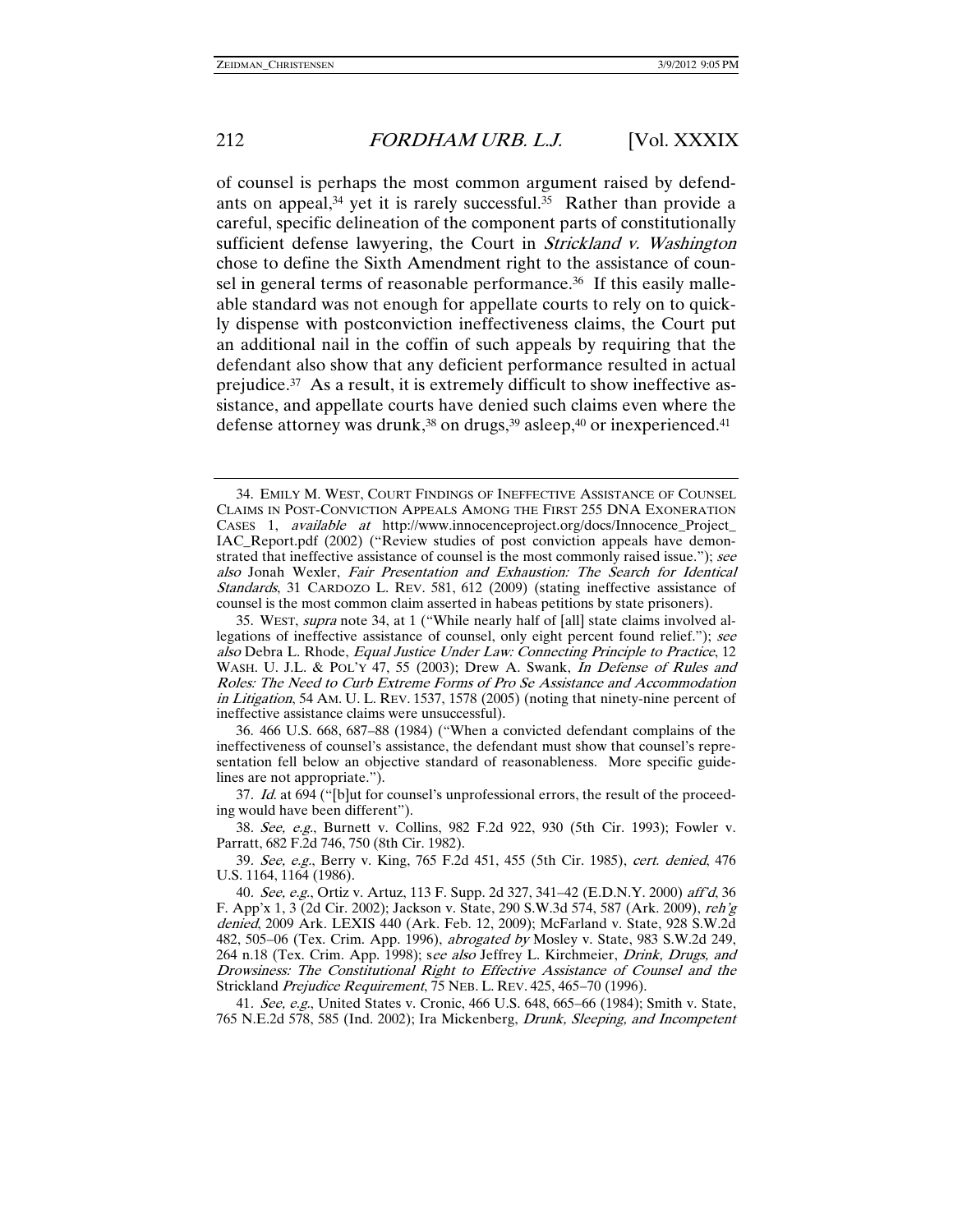of counsel is perhaps the most common argument raised by defendants on appeal,<sup>34</sup> yet it is rarely successful.<sup>35</sup> Rather than provide a careful, specific delineation of the component parts of constitutionally sufficient defense lawyering, the Court in *Strickland v. Washington* chose to define the Sixth Amendment right to the assistance of counsel in general terms of reasonable performance.<sup>36</sup> If this easily malleable standard was not enough for appellate courts to rely on to quickly dispense with postconviction ineffectiveness claims, the Court put an additional nail in the coffin of such appeals by requiring that the defendant also show that any deficient performance resulted in actual prejudice.37 As a result, it is extremely difficult to show ineffective assistance, and appellate courts have denied such claims even where the defense attorney was drunk,<sup>38</sup> on drugs,<sup>39</sup> asleep,<sup>40</sup> or inexperienced.<sup>41</sup>

37. Id. at 694 ("[b]ut for counsel's unprofessional errors, the result of the proceeding would have been different").

38. See, e.g., Burnett v. Collins, 982 F.2d 922, 930 (5th Cir. 1993); Fowler v. Parratt, 682 F.2d 746, 750 (8th Cir. 1982).

39. See, e.g., Berry v. King, 765 F.2d 451, 455 (5th Cir. 1985), cert. denied, 476 U.S. 1164, 1164 (1986).

41. See, e.g., United States v. Cronic, 466 U.S. 648, 665–66 (1984); Smith v. State, 765 N.E.2d 578, 585 (Ind. 2002); Ira Mickenberg, Drunk, Sleeping, and Incompetent

 <sup>34.</sup> EMILY M. WEST, COURT FINDINGS OF INEFFECTIVE ASSISTANCE OF COUNSEL CLAIMS IN POST-CONVICTION APPEALS AMONG THE FIRST 255 DNA EXONERATION CASES 1, available at http://www.innocenceproject.org/docs/Innocence\_Project\_ IAC\_Report.pdf (2002) ("Review studies of post conviction appeals have demonstrated that ineffective assistance of counsel is the most commonly raised issue."); see also Jonah Wexler, Fair Presentation and Exhaustion: The Search for Identical Standards, 31 CARDOZO L. REV. 581, 612 (2009) (stating ineffective assistance of counsel is the most common claim asserted in habeas petitions by state prisoners).

 <sup>35.</sup> WEST, supra note 34, at 1 ("While nearly half of [all] state claims involved allegations of ineffective assistance of counsel, only eight percent found relief."); see also Debra L. Rhode, Equal Justice Under Law: Connecting Principle to Practice, 12 WASH. U. J.L. & POL'Y 47, 55 (2003); Drew A. Swank, In Defense of Rules and Roles: The Need to Curb Extreme Forms of Pro Se Assistance and Accommodation in Litigation, 54 AM. U. L. REV. 1537, 1578 (2005) (noting that ninety-nine percent of ineffective assistance claims were unsuccessful).

 <sup>36. 466</sup> U.S. 668, 687–88 (1984) ("When a convicted defendant complains of the ineffectiveness of counsel's assistance, the defendant must show that counsel's representation fell below an objective standard of reasonableness. More specific guidelines are not appropriate.").

<sup>40</sup>. See, e.g., Ortiz v. Artuz, 113 F. Supp. 2d 327, 341–42 (E.D.N.Y. 2000) aff'd, 36 F. App'x 1, 3 (2d Cir. 2002); Jackson v. State, 290 S.W.3d 574, 587 (Ark. 2009), reh'g denied, 2009 Ark. LEXIS 440 (Ark. Feb. 12, 2009); McFarland v. State, 928 S.W.2d 482, 505–06 (Tex. Crim. App. 1996), abrogated by Mosley v. State, 983 S.W.2d 249, 264 n.18 (Tex. Crim. App. 1998); see also Jeffrey L. Kirchmeier, *Drink, Drugs, and* Drowsiness: The Constitutional Right to Effective Assistance of Counsel and the Strickland Prejudice Requirement, 75 NEB. L. REV. 425, 465-70 (1996).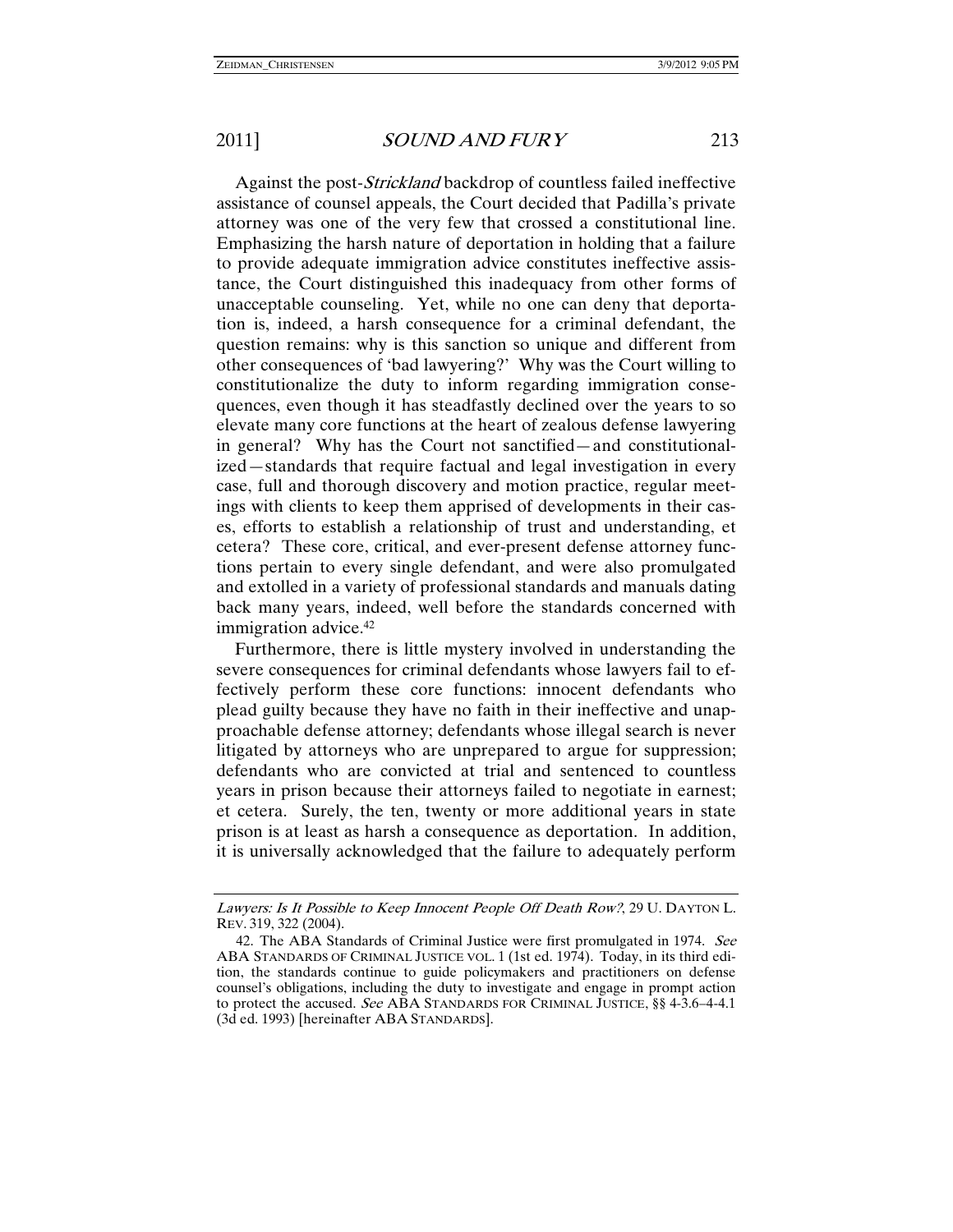Against the post-Strickland backdrop of countless failed ineffective assistance of counsel appeals, the Court decided that Padilla's private attorney was one of the very few that crossed a constitutional line. Emphasizing the harsh nature of deportation in holding that a failure to provide adequate immigration advice constitutes ineffective assistance, the Court distinguished this inadequacy from other forms of unacceptable counseling. Yet, while no one can deny that deportation is, indeed, a harsh consequence for a criminal defendant, the question remains: why is this sanction so unique and different from other consequences of 'bad lawyering?' Why was the Court willing to constitutionalize the duty to inform regarding immigration consequences, even though it has steadfastly declined over the years to so elevate many core functions at the heart of zealous defense lawyering in general? Why has the Court not sanctified—and constitutionalized—standards that require factual and legal investigation in every case, full and thorough discovery and motion practice, regular meetings with clients to keep them apprised of developments in their cases, efforts to establish a relationship of trust and understanding, et cetera? These core, critical, and ever-present defense attorney functions pertain to every single defendant, and were also promulgated and extolled in a variety of professional standards and manuals dating back many years, indeed, well before the standards concerned with immigration advice.42

Furthermore, there is little mystery involved in understanding the severe consequences for criminal defendants whose lawyers fail to effectively perform these core functions: innocent defendants who plead guilty because they have no faith in their ineffective and unapproachable defense attorney; defendants whose illegal search is never litigated by attorneys who are unprepared to argue for suppression; defendants who are convicted at trial and sentenced to countless years in prison because their attorneys failed to negotiate in earnest; et cetera. Surely, the ten, twenty or more additional years in state prison is at least as harsh a consequence as deportation. In addition, it is universally acknowledged that the failure to adequately perform

Lawyers: Is It Possible to Keep Innocent People Off Death Row?, 29 U. DAYTON L. REV. 319, 322 (2004).

<sup>42.</sup> The ABA Standards of Criminal Justice were first promulgated in 1974. See ABA STANDARDS OF CRIMINAL JUSTICE VOL. 1 (1st ed. 1974). Today, in its third edition, the standards continue to guide policymakers and practitioners on defense counsel's obligations, including the duty to investigate and engage in prompt action to protect the accused. See ABA STANDARDS FOR CRIMINAL JUSTICE, §§ 4-3.6–4-4.1 (3d ed. 1993) [hereinafter ABA STANDARDS].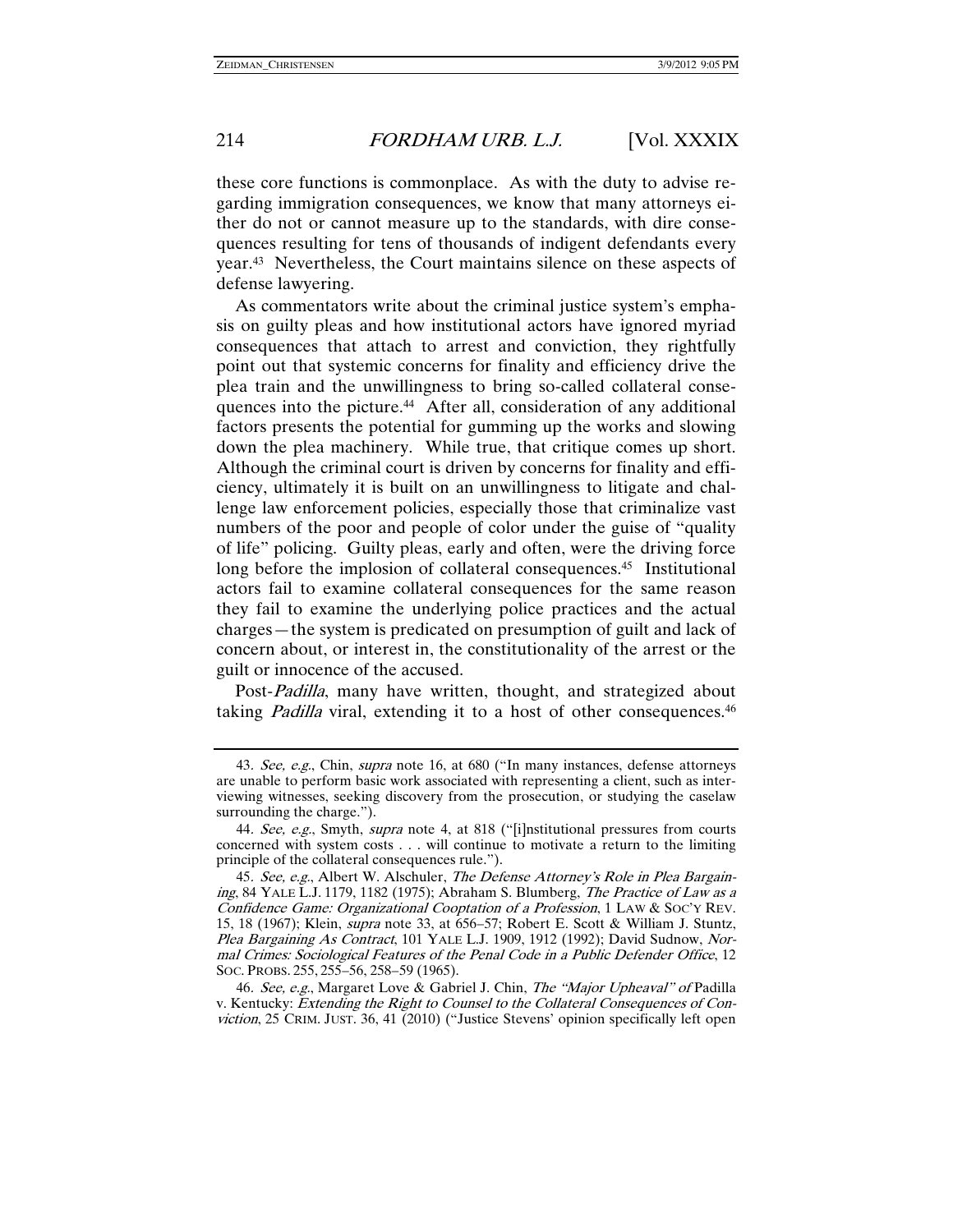these core functions is commonplace. As with the duty to advise regarding immigration consequences, we know that many attorneys either do not or cannot measure up to the standards, with dire consequences resulting for tens of thousands of indigent defendants every year.43 Nevertheless, the Court maintains silence on these aspects of defense lawyering.

As commentators write about the criminal justice system's emphasis on guilty pleas and how institutional actors have ignored myriad consequences that attach to arrest and conviction, they rightfully point out that systemic concerns for finality and efficiency drive the plea train and the unwillingness to bring so-called collateral consequences into the picture.44 After all, consideration of any additional factors presents the potential for gumming up the works and slowing down the plea machinery. While true, that critique comes up short. Although the criminal court is driven by concerns for finality and efficiency, ultimately it is built on an unwillingness to litigate and challenge law enforcement policies, especially those that criminalize vast numbers of the poor and people of color under the guise of "quality of life" policing. Guilty pleas, early and often, were the driving force long before the implosion of collateral consequences.<sup>45</sup> Institutional actors fail to examine collateral consequences for the same reason they fail to examine the underlying police practices and the actual charges—the system is predicated on presumption of guilt and lack of concern about, or interest in, the constitutionality of the arrest or the guilt or innocence of the accused.

Post-Padilla, many have written, thought, and strategized about taking *Padilla* viral, extending it to a host of other consequences.<sup>46</sup>

<sup>43.</sup> See, e.g., Chin, supra note 16, at 680 ("In many instances, defense attorneys are unable to perform basic work associated with representing a client, such as interviewing witnesses, seeking discovery from the prosecution, or studying the caselaw surrounding the charge.").

<sup>44.</sup> See, e.g., Smyth, supra note 4, at 818 ("[i]nstitutional pressures from courts concerned with system costs . . . will continue to motivate a return to the limiting principle of the collateral consequences rule.").

<sup>45.</sup> See, e.g., Albert W. Alschuler, The Defense Attorney's Role in Plea Bargaining, 84 YALE L.J. 1179, 1182 (1975); Abraham S. Blumberg, The Practice of Law as a Confidence Game: Organizational Cooptation of a Profession, 1 LAW & SOC'Y REV. 15, 18 (1967); Klein, supra note 33, at 656–57; Robert E. Scott & William J. Stuntz, Plea Bargaining As Contract, 101 YALE L.J. 1909, 1912 (1992); David Sudnow, Normal Crimes: Sociological Features of the Penal Code in a Public Defender Office, 12 SOC. PROBS. 255, 255–56, 258–59 (1965).

<sup>46</sup>. See, e.g., Margaret Love & Gabriel J. Chin, The "Major Upheaval" of Padilla v. Kentucky: Extending the Right to Counsel to the Collateral Consequences of Conviction, 25 CRIM. JUST. 36, 41 (2010) ("Justice Stevens' opinion specifically left open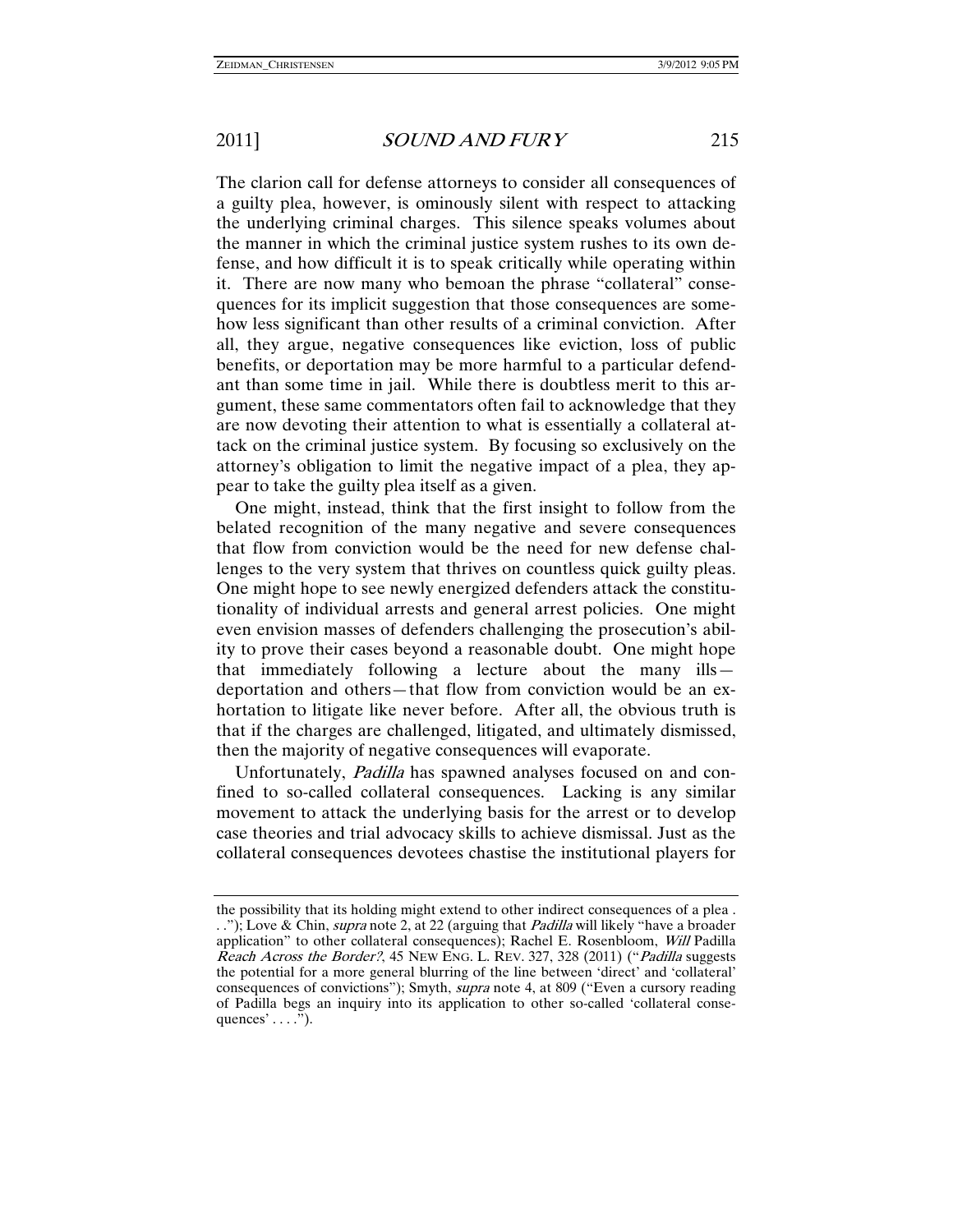The clarion call for defense attorneys to consider all consequences of a guilty plea, however, is ominously silent with respect to attacking the underlying criminal charges. This silence speaks volumes about the manner in which the criminal justice system rushes to its own defense, and how difficult it is to speak critically while operating within it. There are now many who bemoan the phrase "collateral" consequences for its implicit suggestion that those consequences are somehow less significant than other results of a criminal conviction. After all, they argue, negative consequences like eviction, loss of public benefits, or deportation may be more harmful to a particular defendant than some time in jail. While there is doubtless merit to this argument, these same commentators often fail to acknowledge that they are now devoting their attention to what is essentially a collateral attack on the criminal justice system. By focusing so exclusively on the attorney's obligation to limit the negative impact of a plea, they appear to take the guilty plea itself as a given.

One might, instead, think that the first insight to follow from the belated recognition of the many negative and severe consequences that flow from conviction would be the need for new defense challenges to the very system that thrives on countless quick guilty pleas. One might hope to see newly energized defenders attack the constitutionality of individual arrests and general arrest policies. One might even envision masses of defenders challenging the prosecution's ability to prove their cases beyond a reasonable doubt. One might hope that immediately following a lecture about the many ills deportation and others—that flow from conviction would be an exhortation to litigate like never before. After all, the obvious truth is that if the charges are challenged, litigated, and ultimately dismissed, then the majority of negative consequences will evaporate.

Unfortunately, Padilla has spawned analyses focused on and confined to so-called collateral consequences. Lacking is any similar movement to attack the underlying basis for the arrest or to develop case theories and trial advocacy skills to achieve dismissal. Just as the collateral consequences devotees chastise the institutional players for

the possibility that its holding might extend to other indirect consequences of a plea . .."); Love & Chin, *supra* note 2, at 22 (arguing that *Padilla* will likely "have a broader"). application" to other collateral consequences); Rachel E. Rosenbloom, Will Padilla Reach Across the Border?, 45 NEW ENG. L. REV. 327, 328 (2011) ("Padilla suggests the potential for a more general blurring of the line between 'direct' and 'collateral' consequences of convictions"); Smyth, supra note 4, at 809 ("Even a cursory reading of Padilla begs an inquiry into its application to other so-called 'collateral consequences'  $\dots$ ").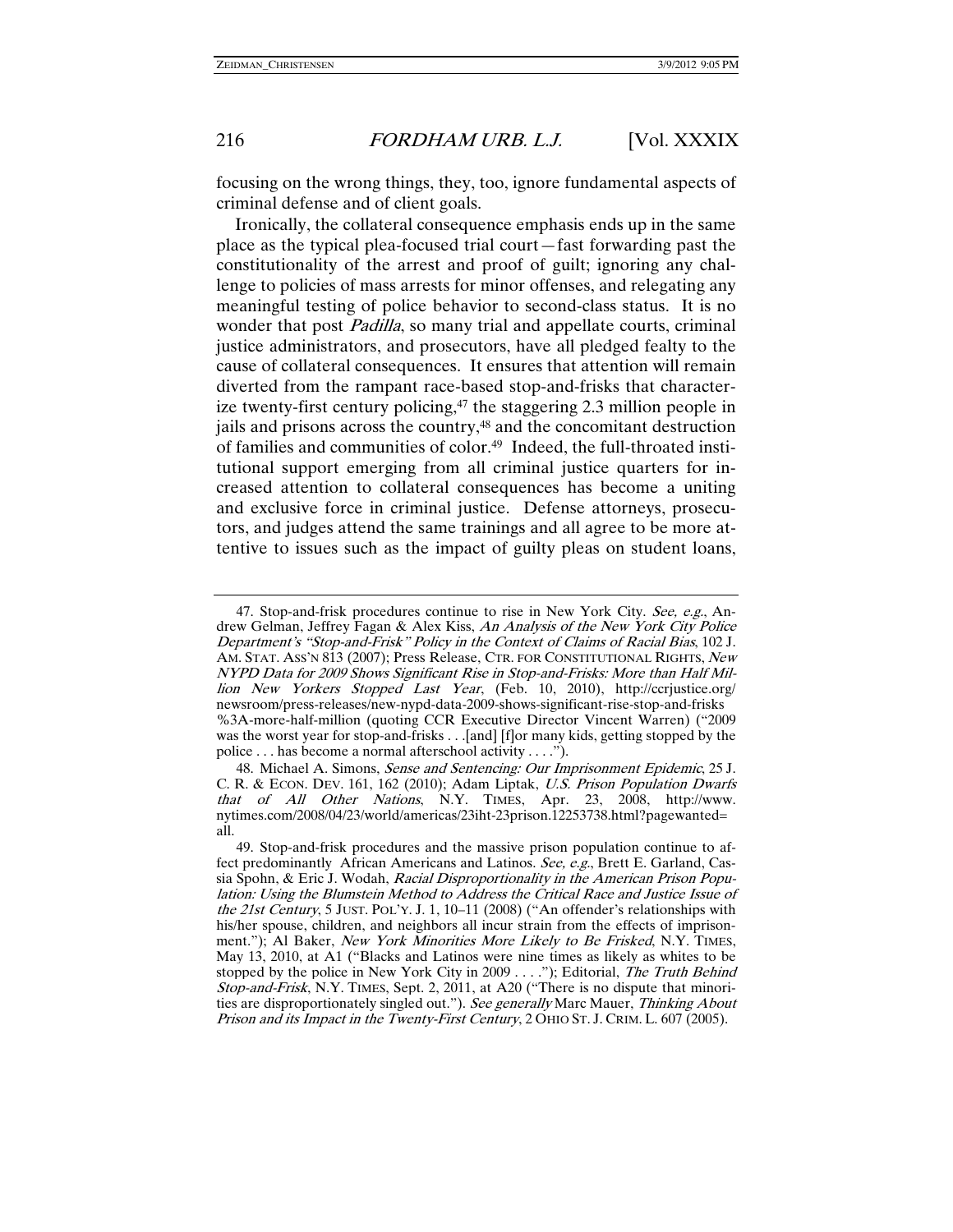focusing on the wrong things, they, too, ignore fundamental aspects of criminal defense and of client goals.

Ironically, the collateral consequence emphasis ends up in the same place as the typical plea-focused trial court—fast forwarding past the constitutionality of the arrest and proof of guilt; ignoring any challenge to policies of mass arrests for minor offenses, and relegating any meaningful testing of police behavior to second-class status. It is no wonder that post *Padilla*, so many trial and appellate courts, criminal justice administrators, and prosecutors, have all pledged fealty to the cause of collateral consequences. It ensures that attention will remain diverted from the rampant race-based stop-and-frisks that characterize twenty-first century policing,<sup>47</sup> the staggering 2.3 million people in jails and prisons across the country,<sup>48</sup> and the concomitant destruction of families and communities of color.49 Indeed, the full-throated institutional support emerging from all criminal justice quarters for increased attention to collateral consequences has become a uniting and exclusive force in criminal justice. Defense attorneys, prosecutors, and judges attend the same trainings and all agree to be more attentive to issues such as the impact of guilty pleas on student loans,

 <sup>47.</sup> Stop-and-frisk procedures continue to rise in New York City. See, e.g., Andrew Gelman, Jeffrey Fagan & Alex Kiss, An Analysis of the New York City Police Department's "Stop-and-Frisk" Policy in the Context of Claims of Racial Bias, 102 J. AM. STAT. ASS'N 813 (2007); Press Release, CTR. FOR CONSTITUTIONAL RIGHTS, New NYPD Data for 2009 Shows Significant Rise in Stop-and-Frisks: More than Half Million New Yorkers Stopped Last Year, (Feb. 10, 2010), http://ccrjustice.org/ newsroom/press-releases/new-nypd-data-2009-shows-significant-rise-stop-and-frisks %3A-more-half-million (quoting CCR Executive Director Vincent Warren) ("2009 was the worst year for stop-and-frisks . . .[and] [f]or many kids, getting stopped by the police . . . has become a normal afterschool activity . . . .").

<sup>48.</sup> Michael A. Simons, Sense and Sentencing: Our Imprisonment Epidemic, 25 J. C. R. & ECON. DEV. 161, 162 (2010); Adam Liptak, U.S. Prison Population Dwarfs that of All Other Nations, N.Y. TIMES, Apr. 23, 2008, http://www. nytimes.com/2008/04/23/world/americas/23iht-23prison.12253738.html?pagewanted= all.

 <sup>49.</sup> Stop-and-frisk procedures and the massive prison population continue to affect predominantly African Americans and Latinos. See, e.g., Brett E. Garland, Cassia Spohn, & Eric J. Wodah, Racial Disproportionality in the American Prison Population: Using the Blumstein Method to Address the Critical Race and Justice Issue of the 21st Century, 5 JUST. POL'Y. J. 1, 10-11 (2008) ("An offender's relationships with his/her spouse, children, and neighbors all incur strain from the effects of imprisonment."); Al Baker, New York Minorities More Likely to Be Frisked, N.Y. TIMES, May 13, 2010, at A1 ("Blacks and Latinos were nine times as likely as whites to be stopped by the police in New York City in  $2009 \ldots$ "); Editorial, The Truth Behind Stop-and-Frisk, N.Y. TIMES, Sept. 2, 2011, at A20 ("There is no dispute that minorities are disproportionately singled out."). See generally Marc Mauer, Thinking About Prison and its Impact in the Twenty-First Century, 2 OHIO ST. J. CRIM. L. 607 (2005).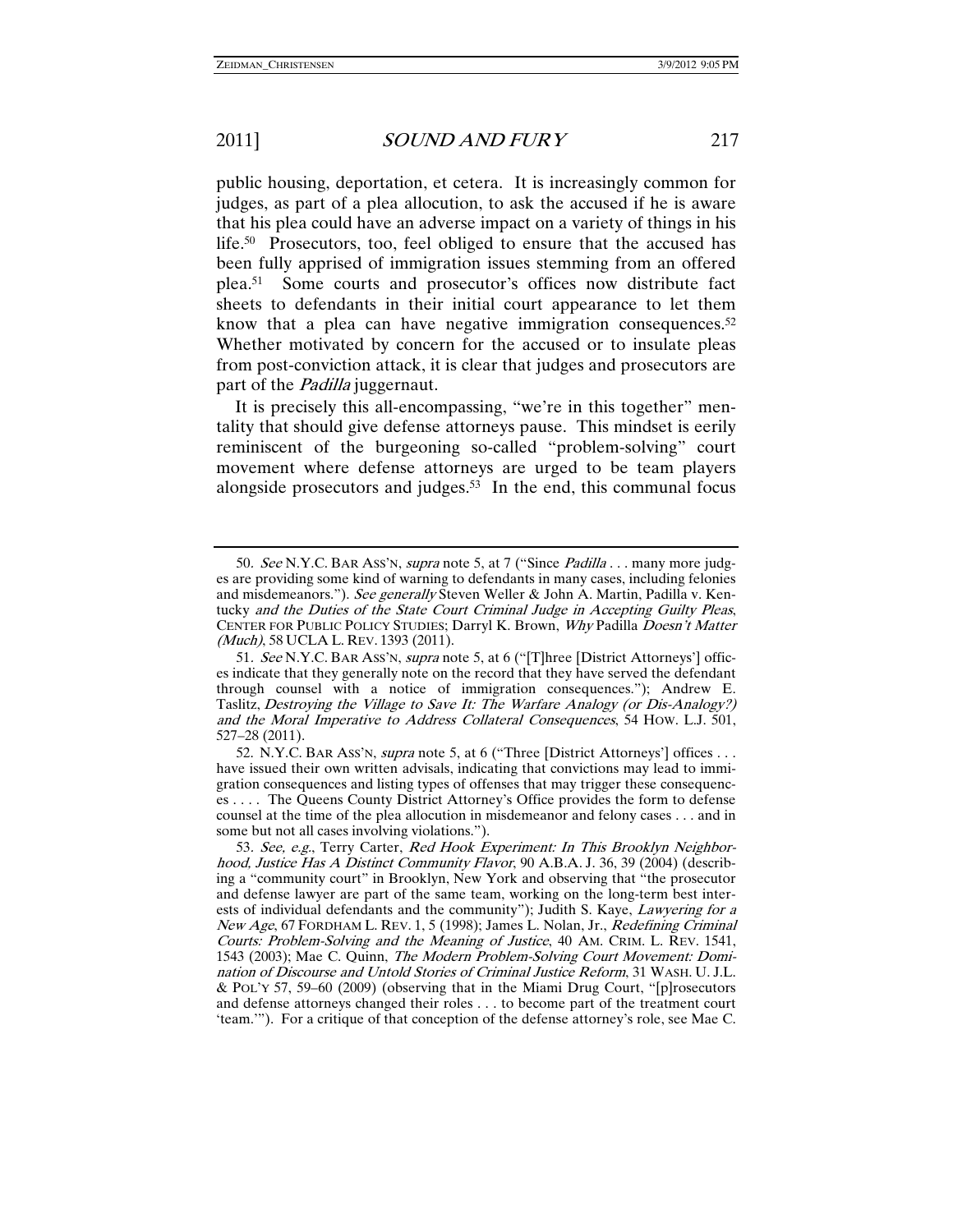public housing, deportation, et cetera. It is increasingly common for judges, as part of a plea allocution, to ask the accused if he is aware that his plea could have an adverse impact on a variety of things in his life.<sup>50</sup> Prosecutors, too, feel obliged to ensure that the accused has been fully apprised of immigration issues stemming from an offered plea.51 Some courts and prosecutor's offices now distribute fact sheets to defendants in their initial court appearance to let them know that a plea can have negative immigration consequences. $52$ Whether motivated by concern for the accused or to insulate pleas from post-conviction attack, it is clear that judges and prosecutors are part of the *Padilla* juggernaut.

It is precisely this all-encompassing, "we're in this together" mentality that should give defense attorneys pause. This mindset is eerily reminiscent of the burgeoning so-called "problem-solving" court movement where defense attorneys are urged to be team players alongside prosecutors and judges.53 In the end, this communal focus

<sup>50</sup>. See N.Y.C. BAR ASS'N, supra note 5, at 7 ("Since Padilla . . . many more judges are providing some kind of warning to defendants in many cases, including felonies and misdemeanors."). See generally Steven Weller & John A. Martin, Padilla v. Kentucky and the Duties of the State Court Criminal Judge in Accepting Guilty Pleas, CENTER FOR PUBLIC POLICY STUDIES; Darryl K. Brown, Why Padilla Doesn't Matter (Much), 58 UCLA L. REV. 1393 (2011).

<sup>51.</sup> See N.Y.C. BAR Ass'N, supra note 5, at 6 ("[T]hree [District Attorneys'] offices indicate that they generally note on the record that they have served the defendant through counsel with a notice of immigration consequences."); Andrew E. Taslitz, Destroying the Village to Save It: The Warfare Analogy (or Dis-Analogy?) and the Moral Imperative to Address Collateral Consequences, 54 HOW. L.J. 501, 527–28 (2011).

 <sup>52.</sup> N.Y.C. BAR ASS'N, supra note 5, at 6 ("Three [District Attorneys'] offices . . . have issued their own written advisals, indicating that convictions may lead to immigration consequences and listing types of offenses that may trigger these consequences . . . . The Queens County District Attorney's Office provides the form to defense counsel at the time of the plea allocution in misdemeanor and felony cases . . . and in some but not all cases involving violations.").

<sup>53.</sup> See, e.g., Terry Carter, Red Hook Experiment: In This Brooklyn Neighborhood, Justice Has A Distinct Community Flavor, 90 A.B.A. J. 36, 39 (2004) (describing a "community court" in Brooklyn, New York and observing that "the prosecutor and defense lawyer are part of the same team, working on the long-term best interests of individual defendants and the community"); Judith S. Kaye, Lawyering for a New Age, 67 FORDHAM L. REV. 1, 5 (1998); James L. Nolan, Jr., Redefining Criminal Courts: Problem-Solving and the Meaning of Justice, 40 AM. CRIM. L. REV. 1541, 1543 (2003); Mae C. Quinn, The Modern Problem-Solving Court Movement: Domination of Discourse and Untold Stories of Criminal Justice Reform, 31 WASH. U. J.L. & POL'Y 57, 59–60 (2009) (observing that in the Miami Drug Court, "[p]rosecutors and defense attorneys changed their roles . . . to become part of the treatment court 'team.'"). For a critique of that conception of the defense attorney's role, see Mae C.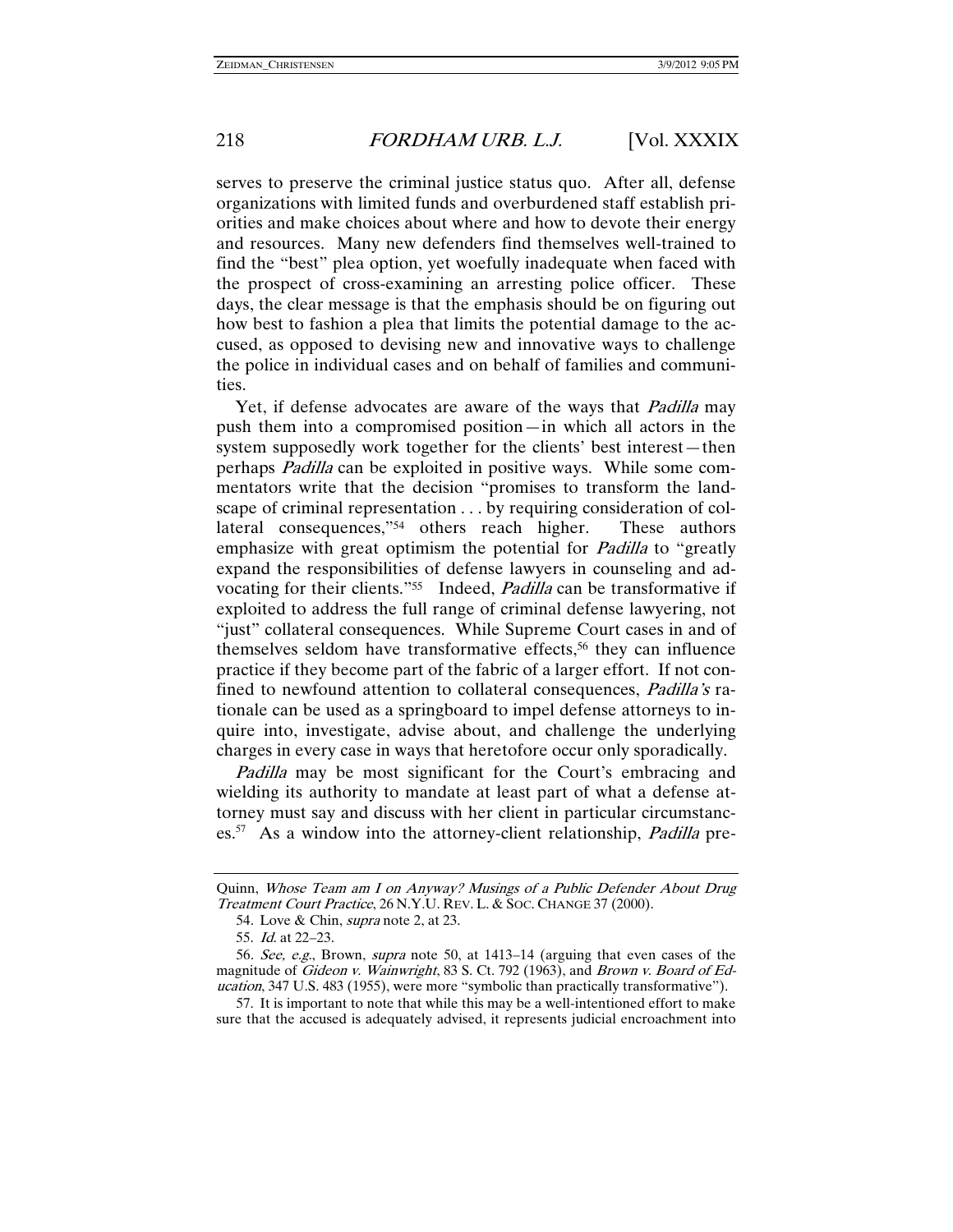serves to preserve the criminal justice status quo. After all, defense organizations with limited funds and overburdened staff establish priorities and make choices about where and how to devote their energy and resources. Many new defenders find themselves well-trained to find the "best" plea option, yet woefully inadequate when faced with the prospect of cross-examining an arresting police officer. These days, the clear message is that the emphasis should be on figuring out how best to fashion a plea that limits the potential damage to the accused, as opposed to devising new and innovative ways to challenge the police in individual cases and on behalf of families and communities.

Yet, if defense advocates are aware of the ways that *Padilla* may push them into a compromised position—in which all actors in the system supposedly work together for the clients' best interest—then perhaps Padilla can be exploited in positive ways. While some commentators write that the decision "promises to transform the landscape of criminal representation . . . by requiring consideration of collateral consequences,"54 others reach higher. These authors emphasize with great optimism the potential for *Padilla* to "greatly" expand the responsibilities of defense lawyers in counseling and advocating for their clients."<sup>55</sup> Indeed, *Padilla* can be transformative if exploited to address the full range of criminal defense lawyering, not "just" collateral consequences. While Supreme Court cases in and of themselves seldom have transformative effects,56 they can influence practice if they become part of the fabric of a larger effort. If not confined to newfound attention to collateral consequences, *Padilla's* rationale can be used as a springboard to impel defense attorneys to inquire into, investigate, advise about, and challenge the underlying charges in every case in ways that heretofore occur only sporadically.

Padilla may be most significant for the Court's embracing and wielding its authority to mandate at least part of what a defense attorney must say and discuss with her client in particular circumstances.<sup>57</sup> As a window into the attorney-client relationship, *Padilla* pre-

 57. It is important to note that while this may be a well-intentioned effort to make sure that the accused is adequately advised, it represents judicial encroachment into

Quinn, Whose Team am I on Anyway? Musings of a Public Defender About Drug Treatment Court Practice, 26 N.Y.U. REV. L. & Soc. CHANGE 37 (2000).

<sup>54</sup>. Love & Chin, supra note 2, at 23.

 <sup>55.</sup> Id. at 22–23.

<sup>56</sup>. See, e.g., Brown, supra note 50, at 1413–14 (arguing that even cases of the magnitude of Gideon v. Wainwright, 83 S. Ct. 792 (1963), and Brown v. Board of Education, 347 U.S. 483 (1955), were more "symbolic than practically transformative").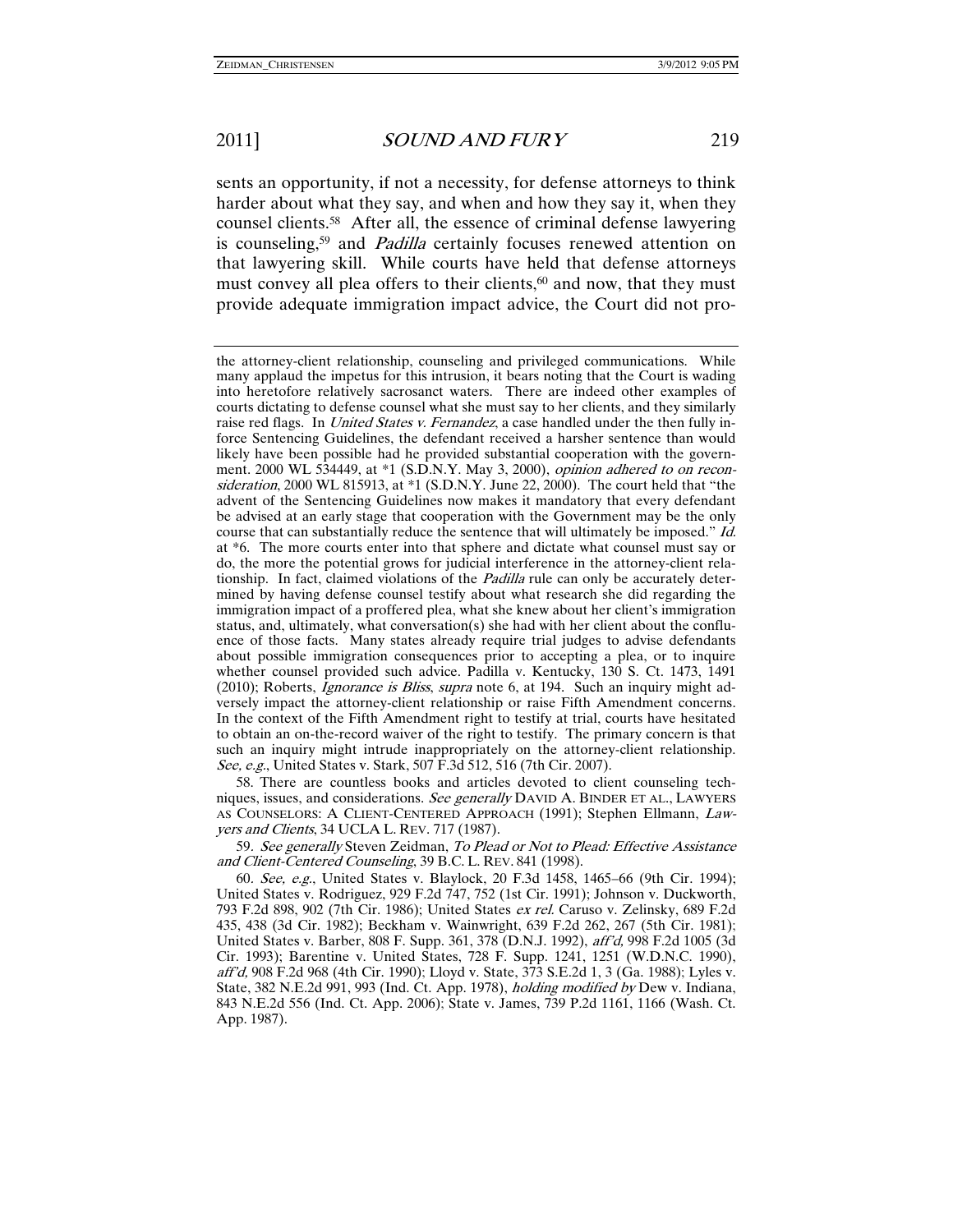sents an opportunity, if not a necessity, for defense attorneys to think harder about what they say, and when and how they say it, when they counsel clients.58 After all, the essence of criminal defense lawyering is counseling,<sup>59</sup> and *Padilla* certainly focuses renewed attention on that lawyering skill. While courts have held that defense attorneys must convey all plea offers to their clients, $60$  and now, that they must provide adequate immigration impact advice, the Court did not pro-

 58. There are countless books and articles devoted to client counseling techniques, issues, and considerations. See generally DAVID A. BINDER ET AL., LAWYERS AS COUNSELORS: A CLIENT-CENTERED APPROACH (1991); Stephen Ellmann, Lawyers and Clients, 34 UCLA L. REV. 717 (1987).

59. See generally Steven Zeidman, To Plead or Not to Plead: Effective Assistance and Client-Centered Counseling, 39 B.C. L. REV. 841 (1998).

60. See, e.g., United States v. Blaylock, 20 F.3d 1458, 1465–66 (9th Cir. 1994); United States v. Rodriguez, 929 F.2d 747, 752 (1st Cir. 1991); Johnson v. Duckworth, 793 F.2d 898, 902 (7th Cir. 1986); United States ex rel. Caruso v. Zelinsky, 689 F.2d 435, 438 (3d Cir. 1982); Beckham v. Wainwright, 639 F.2d 262, 267 (5th Cir. 1981); United States v. Barber, 808 F. Supp. 361, 378 (D.N.J. 1992), aff'd, 998 F.2d 1005 (3d Cir. 1993); Barentine v. United States, 728 F. Supp. 1241, 1251 (W.D.N.C. 1990), aff'd, 908 F.2d 968 (4th Cir. 1990); Lloyd v. State, 373 S.E.2d 1, 3 (Ga. 1988); Lyles v. State, 382 N.E.2d 991, 993 (Ind. Ct. App. 1978), holding modified by Dew v. Indiana, 843 N.E.2d 556 (Ind. Ct. App. 2006); State v. James, 739 P.2d 1161, 1166 (Wash. Ct. App. 1987).

the attorney-client relationship, counseling and privileged communications. While many applaud the impetus for this intrusion, it bears noting that the Court is wading into heretofore relatively sacrosanct waters. There are indeed other examples of courts dictating to defense counsel what she must say to her clients, and they similarly raise red flags. In *United States v. Fernandez*, a case handled under the then fully inforce Sentencing Guidelines, the defendant received a harsher sentence than would likely have been possible had he provided substantial cooperation with the government. 2000 WL 534449, at \*1 (S.D.N.Y. May 3, 2000), opinion adhered to on reconsideration, 2000 WL 815913, at \*1 (S.D.N.Y. June 22, 2000). The court held that "the advent of the Sentencing Guidelines now makes it mandatory that every defendant be advised at an early stage that cooperation with the Government may be the only course that can substantially reduce the sentence that will ultimately be imposed." Id. at \*6. The more courts enter into that sphere and dictate what counsel must say or do, the more the potential grows for judicial interference in the attorney-client relationship. In fact, claimed violations of the *Padilla* rule can only be accurately determined by having defense counsel testify about what research she did regarding the immigration impact of a proffered plea, what she knew about her client's immigration status, and, ultimately, what conversation(s) she had with her client about the confluence of those facts. Many states already require trial judges to advise defendants about possible immigration consequences prior to accepting a plea, or to inquire whether counsel provided such advice. Padilla v. Kentucky, 130 S. Ct. 1473, 1491 (2010); Roberts, *Ignorance is Bliss, supra* note 6, at 194. Such an inquiry might adversely impact the attorney-client relationship or raise Fifth Amendment concerns. In the context of the Fifth Amendment right to testify at trial, courts have hesitated to obtain an on-the-record waiver of the right to testify. The primary concern is that such an inquiry might intrude inappropriately on the attorney-client relationship. See, e.g., United States v. Stark, 507 F.3d 512, 516 (7th Cir. 2007).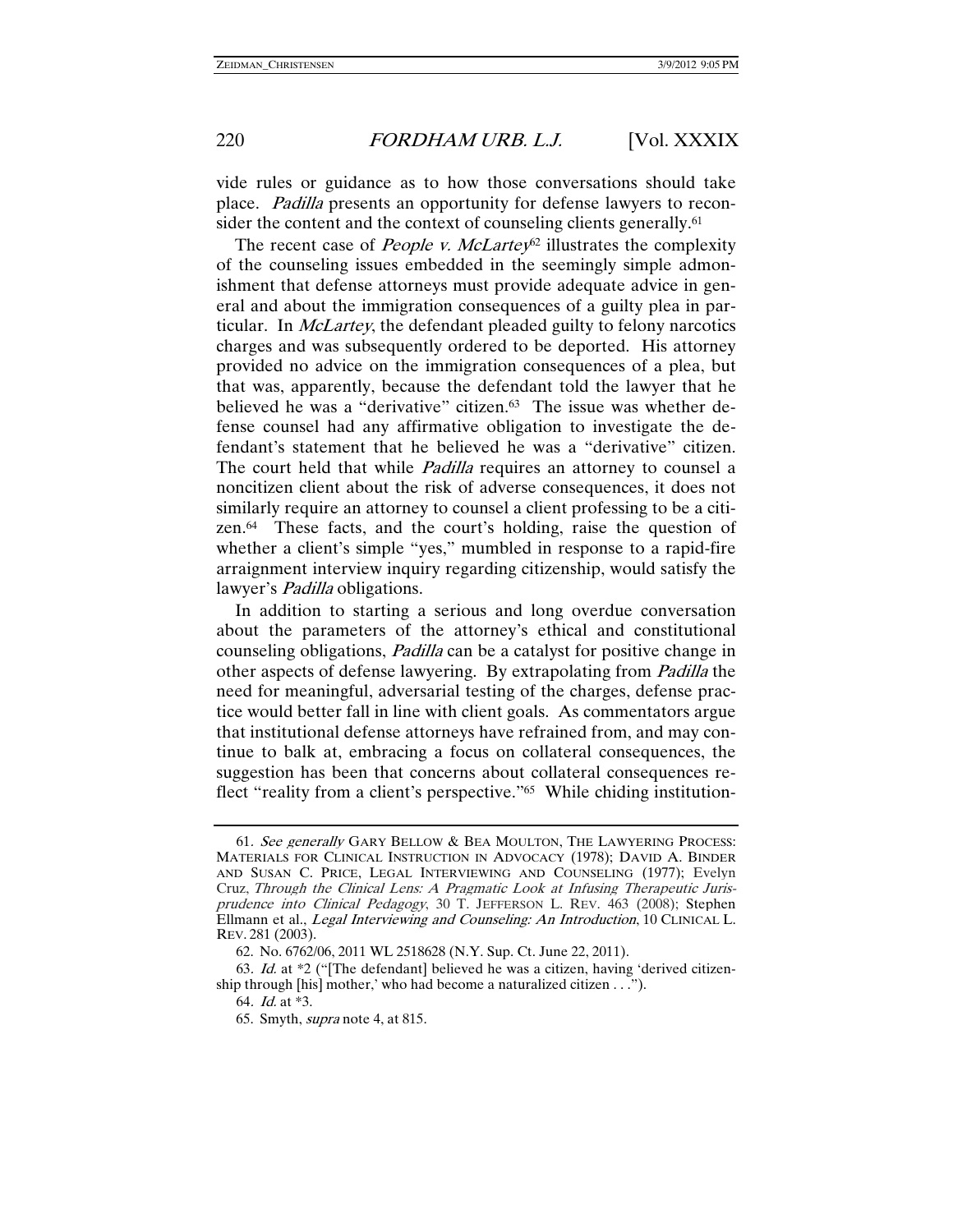vide rules or guidance as to how those conversations should take place. Padilla presents an opportunity for defense lawyers to reconsider the content and the context of counseling clients generally.<sup>61</sup>

The recent case of *People v. McLartey*<sup>62</sup> illustrates the complexity of the counseling issues embedded in the seemingly simple admonishment that defense attorneys must provide adequate advice in general and about the immigration consequences of a guilty plea in particular. In *McLartey*, the defendant pleaded guilty to felony narcotics charges and was subsequently ordered to be deported. His attorney provided no advice on the immigration consequences of a plea, but that was, apparently, because the defendant told the lawyer that he believed he was a "derivative" citizen.<sup>63</sup> The issue was whether defense counsel had any affirmative obligation to investigate the defendant's statement that he believed he was a "derivative" citizen. The court held that while *Padilla* requires an attorney to counsel a noncitizen client about the risk of adverse consequences, it does not similarly require an attorney to counsel a client professing to be a citizen.64 These facts, and the court's holding, raise the question of whether a client's simple "yes," mumbled in response to a rapid-fire arraignment interview inquiry regarding citizenship, would satisfy the lawyer's *Padilla* obligations.

In addition to starting a serious and long overdue conversation about the parameters of the attorney's ethical and constitutional counseling obligations, Padilla can be a catalyst for positive change in other aspects of defense lawyering. By extrapolating from Padilla the need for meaningful, adversarial testing of the charges, defense practice would better fall in line with client goals. As commentators argue that institutional defense attorneys have refrained from, and may continue to balk at, embracing a focus on collateral consequences, the suggestion has been that concerns about collateral consequences reflect "reality from a client's perspective."<sup>65</sup> While chiding institution-

64. Id. at \*3.

<sup>61</sup>. See generally GARY BELLOW & BEA MOULTON, THE LAWYERING PROCESS: MATERIALS FOR CLINICAL INSTRUCTION IN ADVOCACY (1978); DAVID A. BINDER AND SUSAN C. PRICE, LEGAL INTERVIEWING AND COUNSELING (1977); Evelyn Cruz, Through the Clinical Lens: A Pragmatic Look at Infusing Therapeutic Jurisprudence into Clinical Pedagogy, 30 T. JEFFERSON L. REV. 463 (2008); Stephen Ellmann et al., Legal Interviewing and Counseling: An Introduction, 10 CLINICAL L. REV. 281 (2003).

 <sup>62.</sup> No. 6762/06, 2011 WL 2518628 (N.Y. Sup. Ct. June 22, 2011).

<sup>63</sup>. Id. at \*2 ("[The defendant] believed he was a citizen, having 'derived citizenship through [his] mother,' who had become a naturalized citizen . . .").

 <sup>65.</sup> Smyth, supra note 4, at 815.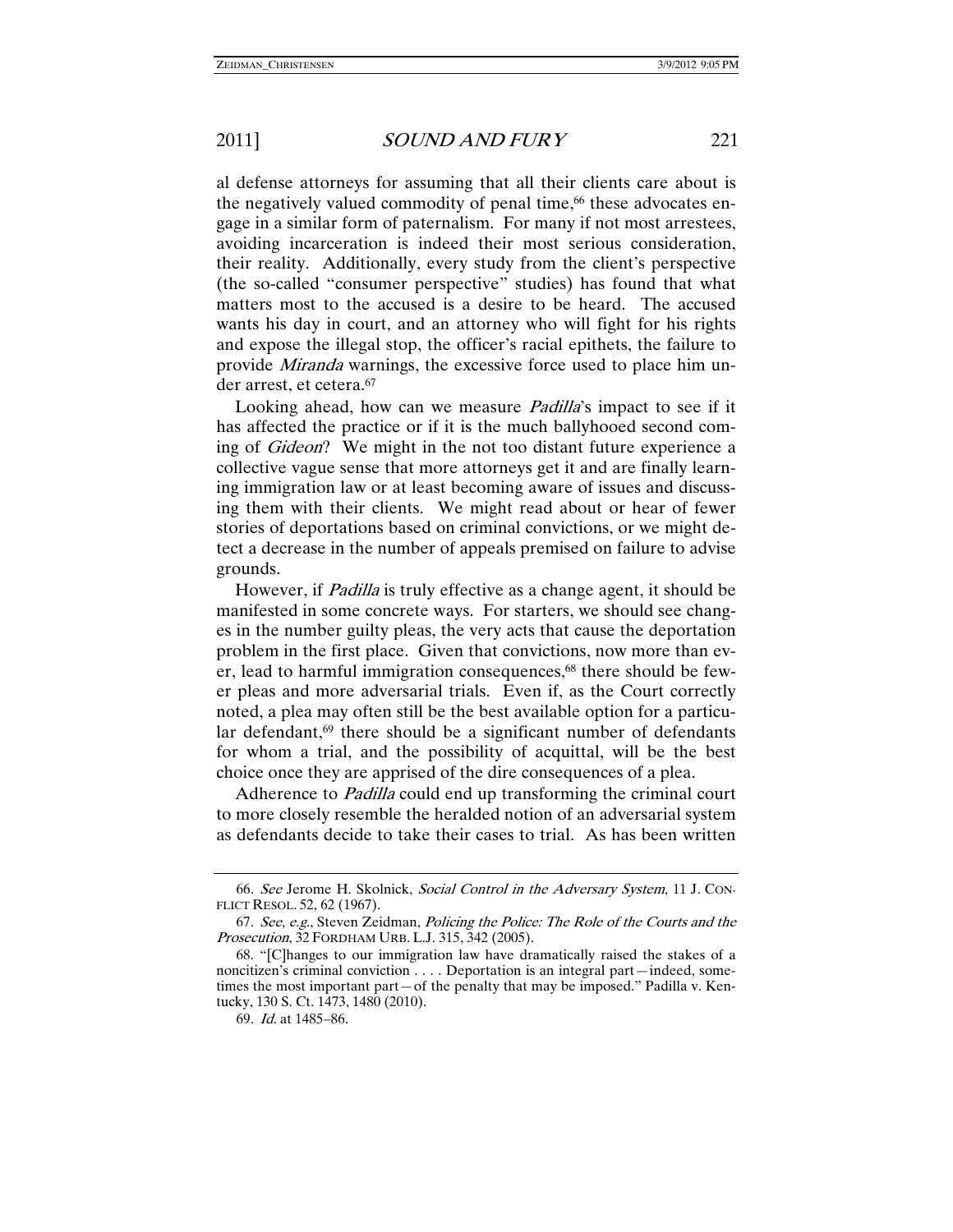al defense attorneys for assuming that all their clients care about is the negatively valued commodity of penal time,<sup>66</sup> these advocates engage in a similar form of paternalism. For many if not most arrestees, avoiding incarceration is indeed their most serious consideration, their reality. Additionally, every study from the client's perspective (the so-called "consumer perspective" studies) has found that what matters most to the accused is a desire to be heard. The accused wants his day in court, and an attorney who will fight for his rights and expose the illegal stop, the officer's racial epithets, the failure to provide *Miranda* warnings, the excessive force used to place him under arrest, et cetera.67

Looking ahead, how can we measure *Padilla*'s impact to see if it has affected the practice or if it is the much ballyhooed second coming of Gideon? We might in the not too distant future experience a collective vague sense that more attorneys get it and are finally learning immigration law or at least becoming aware of issues and discussing them with their clients. We might read about or hear of fewer stories of deportations based on criminal convictions, or we might detect a decrease in the number of appeals premised on failure to advise grounds.

However, if *Padilla* is truly effective as a change agent, it should be manifested in some concrete ways. For starters, we should see changes in the number guilty pleas, the very acts that cause the deportation problem in the first place. Given that convictions, now more than ever, lead to harmful immigration consequences,<sup>68</sup> there should be fewer pleas and more adversarial trials. Even if, as the Court correctly noted, a plea may often still be the best available option for a particular defendant, $69$  there should be a significant number of defendants for whom a trial, and the possibility of acquittal, will be the best choice once they are apprised of the dire consequences of a plea.

Adherence to Padilla could end up transforming the criminal court to more closely resemble the heralded notion of an adversarial system as defendants decide to take their cases to trial. As has been written

<sup>66</sup>. See Jerome H. Skolnick, Social Control in the Adversary System, 11 J. CON-FLICT RESOL. 52, 62 (1967).

<sup>67</sup>. See, e.g., Steven Zeidman, Policing the Police: The Role of the Courts and the Prosecution, 32 FORDHAM URB. L.J. 315, 342 (2005).

 <sup>68. &</sup>quot;[C]hanges to our immigration law have dramatically raised the stakes of a noncitizen's criminal conviction . . . . Deportation is an integral part—indeed, sometimes the most important part—of the penalty that may be imposed." Padilla v. Kentucky, 130 S. Ct. 1473, 1480 (2010).

<sup>69</sup>. Id. at 1485–86.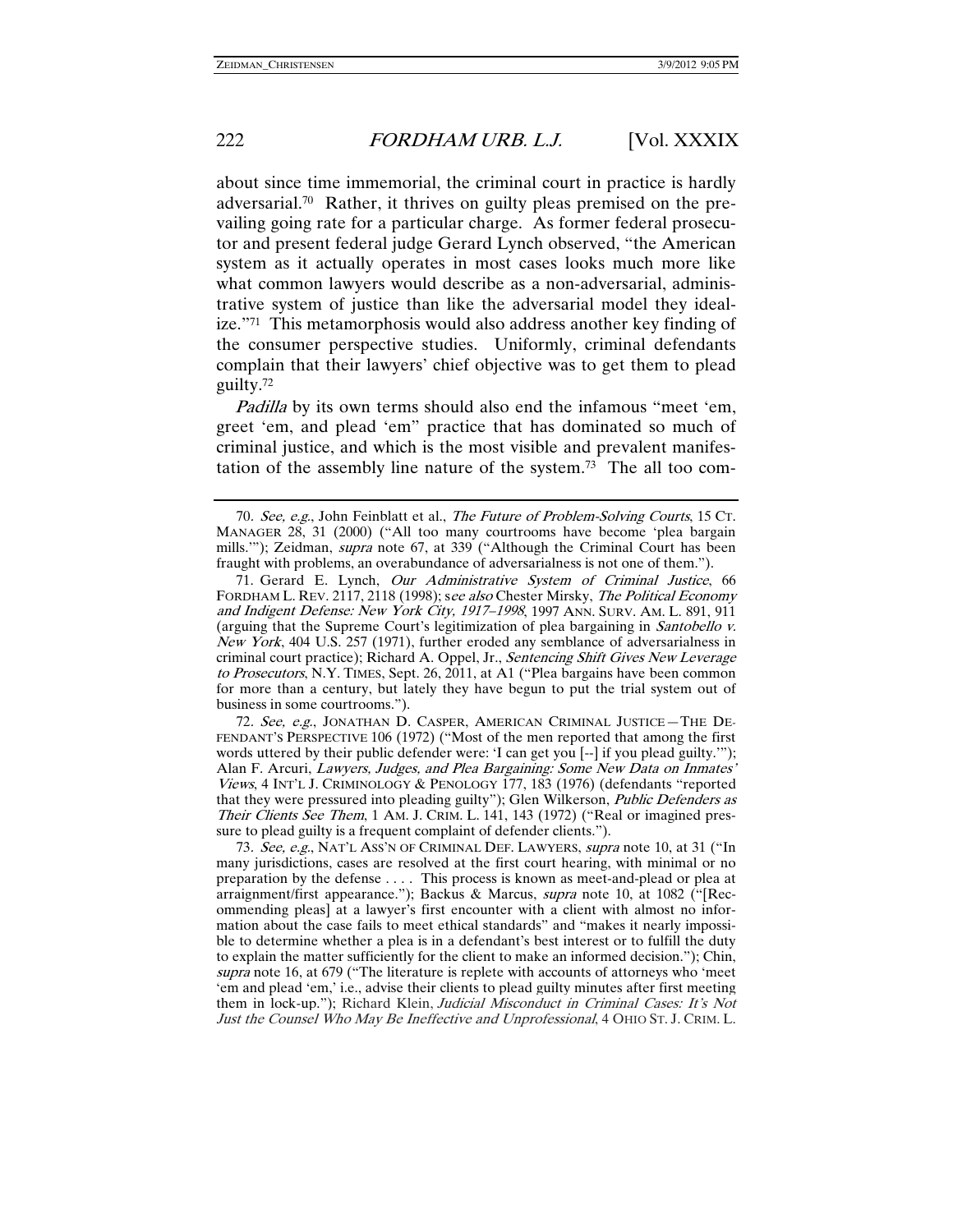about since time immemorial, the criminal court in practice is hardly adversarial.70 Rather, it thrives on guilty pleas premised on the prevailing going rate for a particular charge. As former federal prosecutor and present federal judge Gerard Lynch observed, "the American system as it actually operates in most cases looks much more like what common lawyers would describe as a non-adversarial, administrative system of justice than like the adversarial model they idealize."71 This metamorphosis would also address another key finding of the consumer perspective studies. Uniformly, criminal defendants complain that their lawyers' chief objective was to get them to plead guilty.72

Padilla by its own terms should also end the infamous "meet 'em, greet 'em, and plead 'em" practice that has dominated so much of criminal justice, and which is the most visible and prevalent manifestation of the assembly line nature of the system.73 The all too com-

72. See, e.g., JONATHAN D. CASPER, AMERICAN CRIMINAL JUSTICE-THE DE-FENDANT'S PERSPECTIVE 106 (1972) ("Most of the men reported that among the first words uttered by their public defender were: 'I can get you [--] if you plead guilty.'"); Alan F. Arcuri, Lawyers, Judges, and Plea Bargaining: Some New Data on Inmates' Views, 4 INT'L J. CRIMINOLOGY & PENOLOGY 177, 183 (1976) (defendants "reported that they were pressured into pleading guilty"); Glen Wilkerson, Public Defenders as Their Clients See Them, 1 AM. J. CRIM. L. 141, 143 (1972) ("Real or imagined pressure to plead guilty is a frequent complaint of defender clients.").

73. See, e.g., NAT'L ASS'N OF CRIMINAL DEF. LAWYERS, supra note 10, at 31 ("In many jurisdictions, cases are resolved at the first court hearing, with minimal or no preparation by the defense . . . . This process is known as meet-and-plead or plea at arraignment/first appearance."); Backus & Marcus, *supra* note 10, at 1082 ("[Recommending pleas] at a lawyer's first encounter with a client with almost no information about the case fails to meet ethical standards" and "makes it nearly impossible to determine whether a plea is in a defendant's best interest or to fulfill the duty to explain the matter sufficiently for the client to make an informed decision."); Chin, supra note 16, at 679 ("The literature is replete with accounts of attorneys who 'meet 'em and plead 'em,' i.e., advise their clients to plead guilty minutes after first meeting them in lock-up."); Richard Klein, Judicial Misconduct in Criminal Cases: It's Not Just the Counsel Who May Be Ineffective and Unprofessional, 4 OHIO ST. J. CRIM. L.

<sup>70</sup>. See, e.g., John Feinblatt et al., The Future of Problem-Solving Courts, 15 CT. MANAGER 28, 31 (2000) ("All too many courtrooms have become 'plea bargain mills."); Zeidman, *supra* note 67, at 339 ("Although the Criminal Court has been fraught with problems, an overabundance of adversarialness is not one of them.").

 <sup>71.</sup> Gerard E. Lynch, Our Administrative System of Criminal Justice, 66 FORDHAM L. REV. 2117, 2118 (1998); see also Chester Mirsky, The Political Economy and Indigent Defense: New York City, 1917–1998, 1997 ANN. SURV. AM. L. 891, 911 (arguing that the Supreme Court's legitimization of plea bargaining in Santobello v. New York, 404 U.S. 257 (1971), further eroded any semblance of adversarialness in criminal court practice); Richard A. Oppel, Jr., Sentencing Shift Gives New Leverage to Prosecutors, N.Y. TIMES, Sept. 26, 2011, at A1 ("Plea bargains have been common for more than a century, but lately they have begun to put the trial system out of business in some courtrooms.").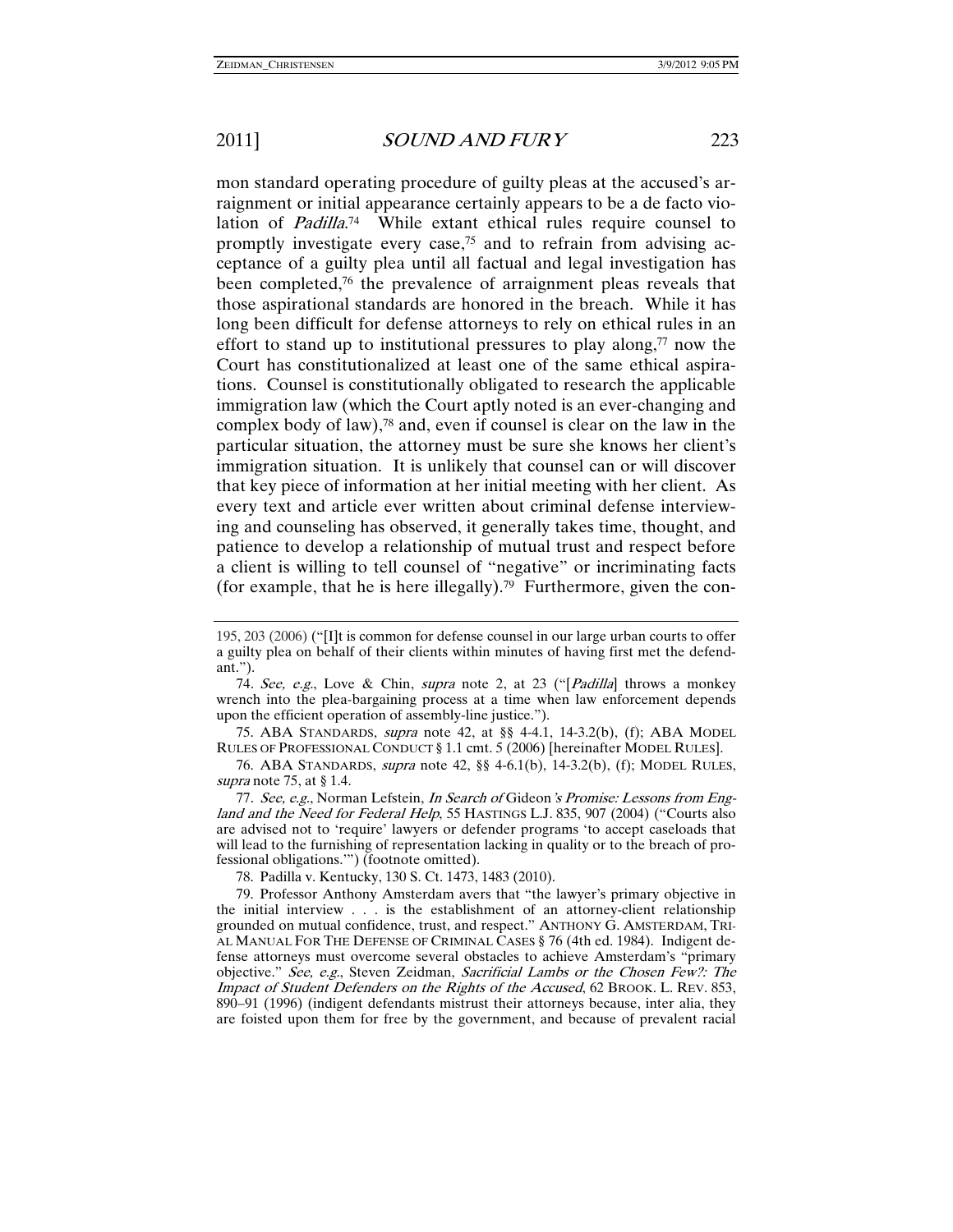mon standard operating procedure of guilty pleas at the accused's arraignment or initial appearance certainly appears to be a de facto violation of *Padilla*.<sup>74</sup> While extant ethical rules require counsel to promptly investigate every case,75 and to refrain from advising acceptance of a guilty plea until all factual and legal investigation has been completed,76 the prevalence of arraignment pleas reveals that those aspirational standards are honored in the breach. While it has long been difficult for defense attorneys to rely on ethical rules in an effort to stand up to institutional pressures to play along, $77$  now the Court has constitutionalized at least one of the same ethical aspirations. Counsel is constitutionally obligated to research the applicable immigration law (which the Court aptly noted is an ever-changing and complex body of law),<sup>78</sup> and, even if counsel is clear on the law in the particular situation, the attorney must be sure she knows her client's immigration situation. It is unlikely that counsel can or will discover that key piece of information at her initial meeting with her client. As every text and article ever written about criminal defense interviewing and counseling has observed, it generally takes time, thought, and patience to develop a relationship of mutual trust and respect before a client is willing to tell counsel of "negative" or incriminating facts (for example, that he is here illegally).<sup>79</sup> Furthermore, given the con-

 75. ABA STANDARDS, supra note 42, at §§ 4-4.1, 14-3.2(b), (f); ABA MODEL RULES OF PROFESSIONAL CONDUCT § 1.1 cmt. 5 (2006) [hereinafter MODEL RULES].

 76. ABA STANDARDS, supra note 42, §§ 4-6.1(b), 14-3.2(b), (f); MODEL RULES, supra note 75, at § 1.4.

77. See, e.g., Norman Lefstein, In Search of Gideon's Promise: Lessons from England and the Need for Federal Help, 55 HASTINGS L.J. 835, 907 (2004) ("Courts also are advised not to 'require' lawyers or defender programs 'to accept caseloads that will lead to the furnishing of representation lacking in quality or to the breach of professional obligations.'") (footnote omitted).

78. Padilla v. Kentucky, 130 S. Ct. 1473, 1483 (2010).

 79. Professor Anthony Amsterdam avers that "the lawyer's primary objective in the initial interview . . . is the establishment of an attorney-client relationship grounded on mutual confidence, trust, and respect." ANTHONY G. AMSTERDAM, TRI-AL MANUAL FOR THE DEFENSE OF CRIMINAL CASES § 76 (4th ed. 1984). Indigent defense attorneys must overcome several obstacles to achieve Amsterdam's "primary objective." See, e.g., Steven Zeidman, Sacrificial Lambs or the Chosen Few?: The Impact of Student Defenders on the Rights of the Accused, 62 BROOK. L. REV. 853, 890–91 (1996) (indigent defendants mistrust their attorneys because, inter alia, they are foisted upon them for free by the government, and because of prevalent racial

<sup>195, 203 (2006) (&</sup>quot;[I]t is common for defense counsel in our large urban courts to offer a guilty plea on behalf of their clients within minutes of having first met the defendant.").

<sup>74.</sup> See, e.g., Love & Chin, supra note 2, at 23 ("[Padilla] throws a monkey wrench into the plea-bargaining process at a time when law enforcement depends upon the efficient operation of assembly-line justice.").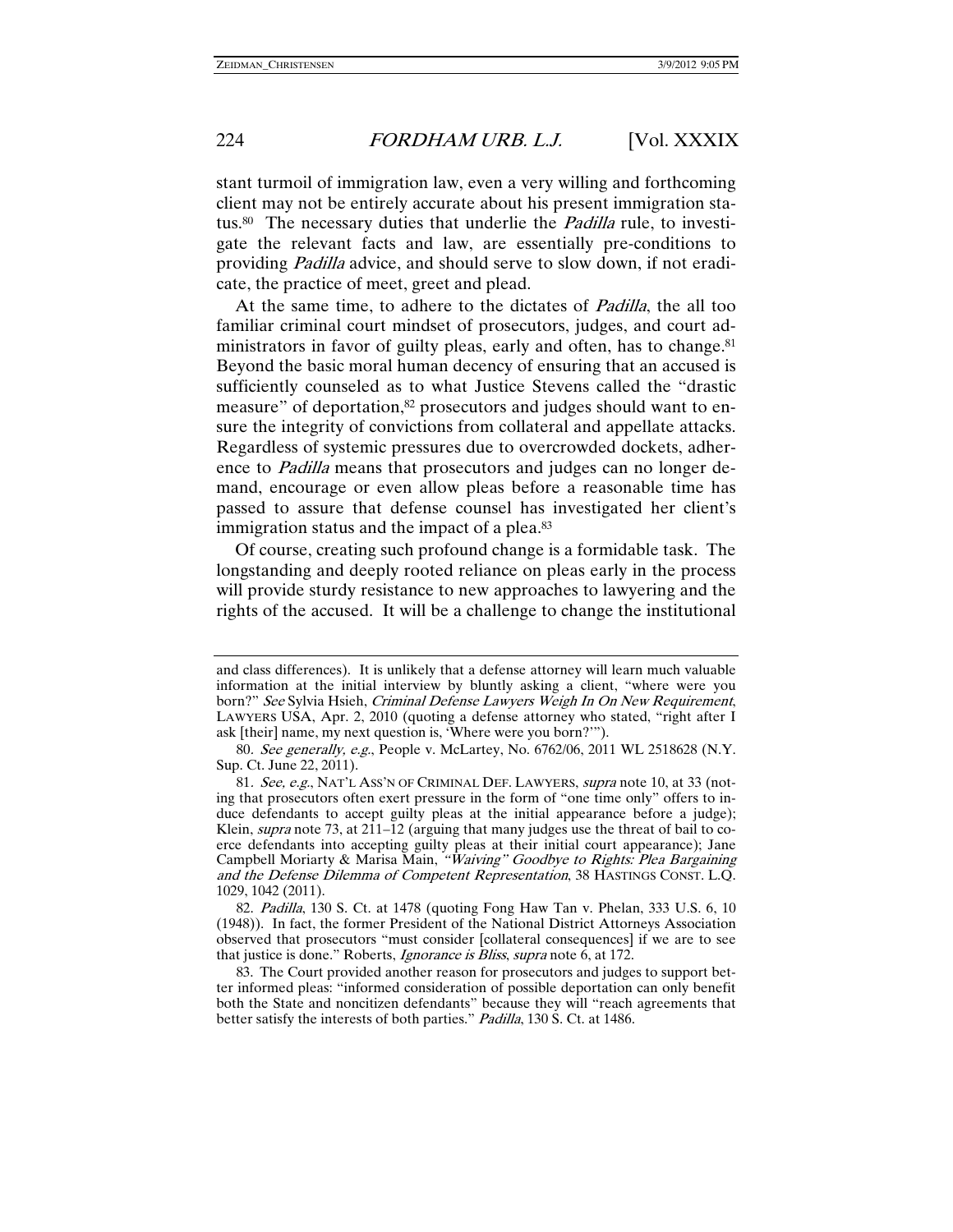stant turmoil of immigration law, even a very willing and forthcoming client may not be entirely accurate about his present immigration status.<sup>80</sup> The necessary duties that underlie the *Padilla* rule, to investigate the relevant facts and law, are essentially pre-conditions to providing Padilla advice, and should serve to slow down, if not eradicate, the practice of meet, greet and plead.

At the same time, to adhere to the dictates of *Padilla*, the all too familiar criminal court mindset of prosecutors, judges, and court administrators in favor of guilty pleas, early and often, has to change.<sup>81</sup> Beyond the basic moral human decency of ensuring that an accused is sufficiently counseled as to what Justice Stevens called the "drastic measure" of deportation,<sup>82</sup> prosecutors and judges should want to ensure the integrity of convictions from collateral and appellate attacks. Regardless of systemic pressures due to overcrowded dockets, adherence to Padilla means that prosecutors and judges can no longer demand, encourage or even allow pleas before a reasonable time has passed to assure that defense counsel has investigated her client's immigration status and the impact of a plea.<sup>83</sup>

Of course, creating such profound change is a formidable task. The longstanding and deeply rooted reliance on pleas early in the process will provide sturdy resistance to new approaches to lawyering and the rights of the accused. It will be a challenge to change the institutional

and class differences). It is unlikely that a defense attorney will learn much valuable information at the initial interview by bluntly asking a client, "where were you born?" See Sylvia Hsieh, Criminal Defense Lawyers Weigh In On New Requirement, LAWYERS USA, Apr. 2, 2010 (quoting a defense attorney who stated, "right after I ask [their] name, my next question is, 'Where were you born?'").

<sup>80</sup>. See generally, e.g., People v. McLartey, No. 6762/06, 2011 WL 2518628 (N.Y. Sup. Ct. June 22, 2011).

<sup>81.</sup> See, e.g., NAT'L ASS'N OF CRIMINAL DEF. LAWYERS, supra note 10, at 33 (noting that prosecutors often exert pressure in the form of "one time only" offers to induce defendants to accept guilty pleas at the initial appearance before a judge); Klein, *supra* note 73, at  $211-12$  (arguing that many judges use the threat of bail to coerce defendants into accepting guilty pleas at their initial court appearance); Jane Campbell Moriarty & Marisa Main, "Waiving" Goodbye to Rights: Plea Bargaining and the Defense Dilemma of Competent Representation, 38 HASTINGS CONST. L.Q. 1029, 1042 (2011).

 <sup>82.</sup> Padilla, 130 S. Ct. at 1478 (quoting Fong Haw Tan v. Phelan, 333 U.S. 6, 10 (1948)). In fact, the former President of the National District Attorneys Association observed that prosecutors "must consider [collateral consequences] if we are to see that justice is done." Roberts, *Ignorance is Bliss*, *supra* note 6, at 172.

 <sup>83.</sup> The Court provided another reason for prosecutors and judges to support better informed pleas: "informed consideration of possible deportation can only benefit both the State and noncitizen defendants" because they will "reach agreements that better satisfy the interests of both parties." Padilla, 130 S. Ct. at 1486.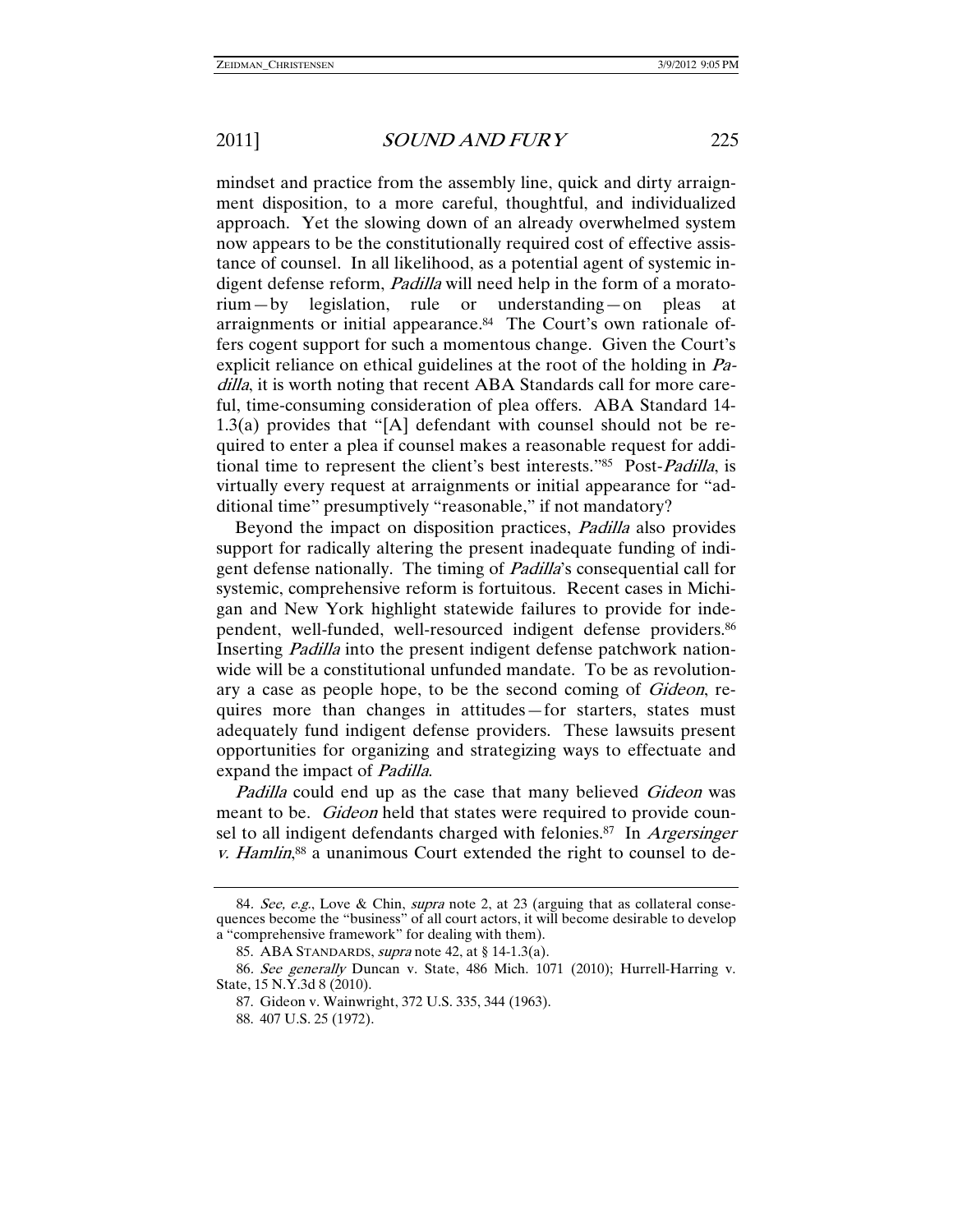mindset and practice from the assembly line, quick and dirty arraignment disposition, to a more careful, thoughtful, and individualized approach. Yet the slowing down of an already overwhelmed system now appears to be the constitutionally required cost of effective assistance of counsel. In all likelihood, as a potential agent of systemic indigent defense reform, Padilla will need help in the form of a moratorium—by legislation, rule or understanding—on pleas at arraignments or initial appearance.<sup>84</sup> The Court's own rationale offers cogent support for such a momentous change. Given the Court's explicit reliance on ethical guidelines at the root of the holding in Padilla, it is worth noting that recent ABA Standards call for more careful, time-consuming consideration of plea offers. ABA Standard 14- 1.3(a) provides that "[A] defendant with counsel should not be required to enter a plea if counsel makes a reasonable request for additional time to represent the client's best interests."85 Post-Padilla, is virtually every request at arraignments or initial appearance for "additional time" presumptively "reasonable," if not mandatory?

Beyond the impact on disposition practices, Padilla also provides support for radically altering the present inadequate funding of indigent defense nationally. The timing of Padilla's consequential call for systemic, comprehensive reform is fortuitous. Recent cases in Michigan and New York highlight statewide failures to provide for independent, well-funded, well-resourced indigent defense providers.<sup>86</sup> Inserting Padilla into the present indigent defense patchwork nationwide will be a constitutional unfunded mandate. To be as revolutionary a case as people hope, to be the second coming of *Gideon*, requires more than changes in attitudes—for starters, states must adequately fund indigent defense providers. These lawsuits present opportunities for organizing and strategizing ways to effectuate and expand the impact of Padilla.

Padilla could end up as the case that many believed Gideon was meant to be. *Gideon* held that states were required to provide counsel to all indigent defendants charged with felonies.<sup>87</sup> In *Argersinger* v. Hamlin,<sup>88</sup> a unanimous Court extended the right to counsel to de-

<sup>84</sup>. See, e.g., Love & Chin, supra note 2, at 23 (arguing that as collateral consequences become the "business" of all court actors, it will become desirable to develop a "comprehensive framework" for dealing with them).

 <sup>85.</sup> ABA STANDARDS, supra note 42, at § 14-1.3(a).

<sup>86</sup>. See generally Duncan v. State, 486 Mich. 1071 (2010); Hurrell-Harring v. State, 15 N.Y.3d 8 (2010).

 <sup>87.</sup> Gideon v. Wainwright, 372 U.S. 335, 344 (1963).

 <sup>88. 407</sup> U.S. 25 (1972).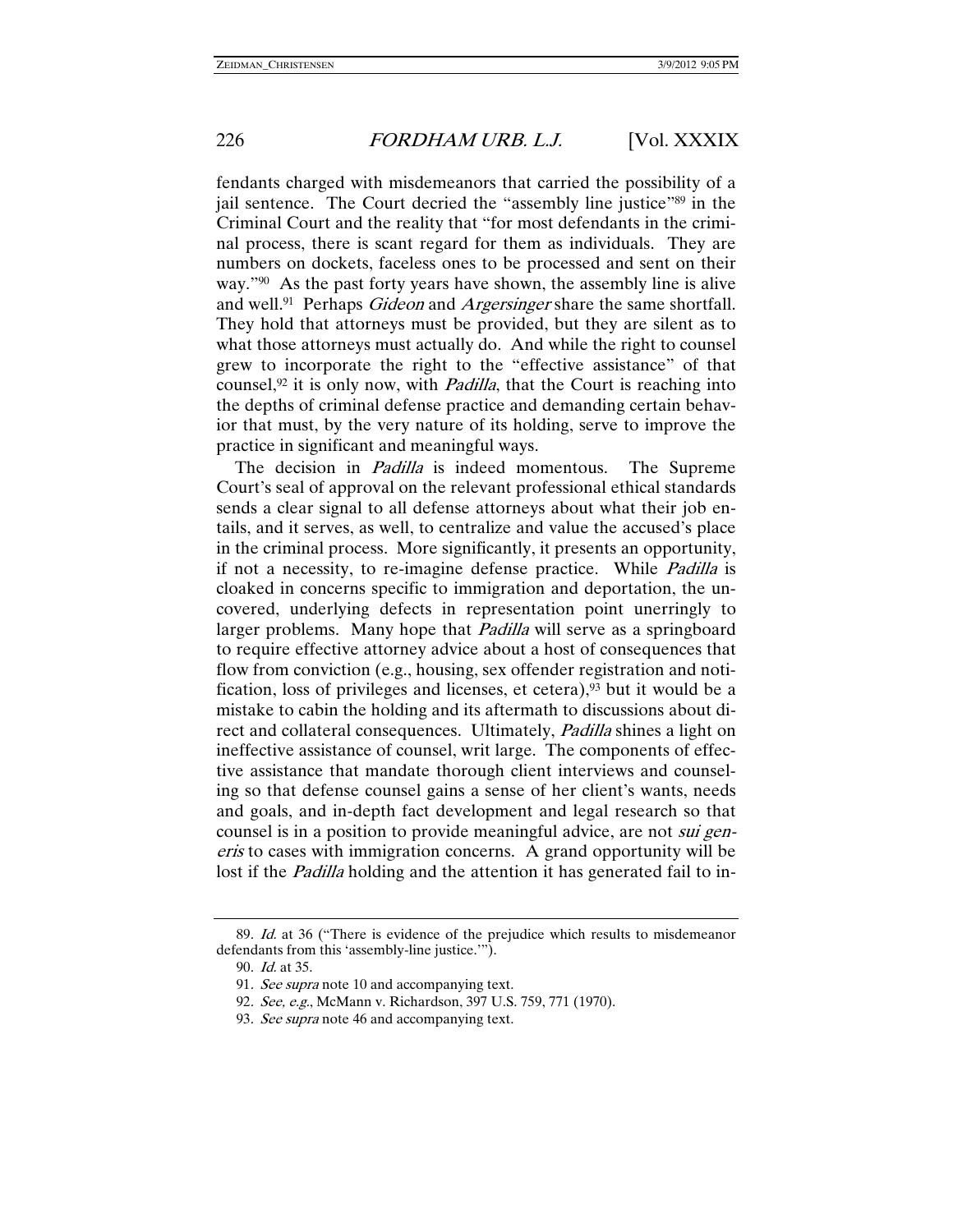fendants charged with misdemeanors that carried the possibility of a jail sentence. The Court decried the "assembly line justice"<sup>89</sup> in the Criminal Court and the reality that "for most defendants in the criminal process, there is scant regard for them as individuals. They are numbers on dockets, faceless ones to be processed and sent on their way."<sup>90</sup> As the past forty years have shown, the assembly line is alive and well.<sup>91</sup> Perhaps *Gideon* and *Argersinger* share the same shortfall. They hold that attorneys must be provided, but they are silent as to what those attorneys must actually do. And while the right to counsel grew to incorporate the right to the "effective assistance" of that counsel, $92$  it is only now, with *Padilla*, that the Court is reaching into the depths of criminal defense practice and demanding certain behavior that must, by the very nature of its holding, serve to improve the practice in significant and meaningful ways.

The decision in *Padilla* is indeed momentous. The Supreme Court's seal of approval on the relevant professional ethical standards sends a clear signal to all defense attorneys about what their job entails, and it serves, as well, to centralize and value the accused's place in the criminal process. More significantly, it presents an opportunity, if not a necessity, to re-imagine defense practice. While Padilla is cloaked in concerns specific to immigration and deportation, the uncovered, underlying defects in representation point unerringly to larger problems. Many hope that *Padilla* will serve as a springboard to require effective attorney advice about a host of consequences that flow from conviction (e.g., housing, sex offender registration and notification, loss of privileges and licenses, et cetera),  $93$  but it would be a mistake to cabin the holding and its aftermath to discussions about direct and collateral consequences. Ultimately, Padilla shines a light on ineffective assistance of counsel, writ large. The components of effective assistance that mandate thorough client interviews and counseling so that defense counsel gains a sense of her client's wants, needs and goals, and in-depth fact development and legal research so that counsel is in a position to provide meaningful advice, are not *sui gen*eris to cases with immigration concerns. A grand opportunity will be lost if the *Padilla* holding and the attention it has generated fail to in-

<sup>89.</sup> Id. at 36 ("There is evidence of the prejudice which results to misdemeanor defendants from this 'assembly-line justice.'").

<sup>90</sup>. Id. at 35.

<sup>91.</sup> See supra note 10 and accompanying text.

<sup>92</sup>. See, e.g., McMann v. Richardson, 397 U.S. 759, 771 (1970).

<sup>93.</sup> See supra note 46 and accompanying text.